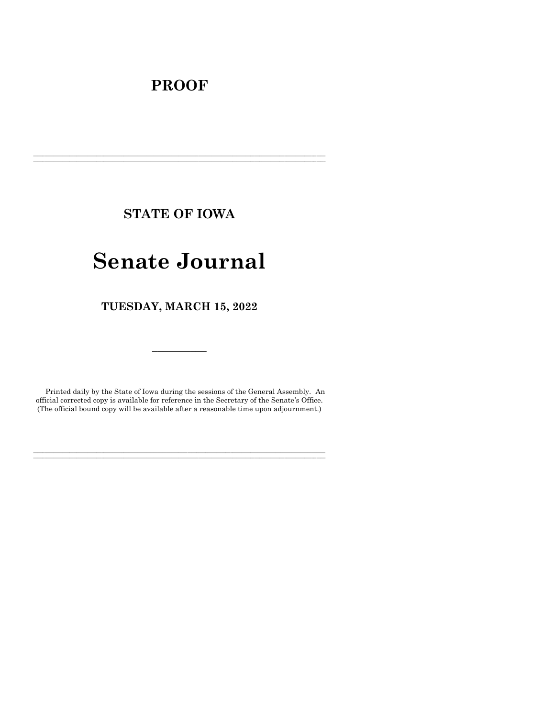## **PROOF**

**STATE OF IOWA**

**\_\_\_\_\_\_\_\_\_\_\_\_\_\_\_\_\_\_\_\_\_\_\_\_\_\_\_\_\_\_\_\_\_\_\_\_\_\_\_\_\_\_\_\_\_\_\_\_\_\_\_\_\_\_\_\_\_\_\_\_\_\_\_\_\_\_\_\_\_\_\_\_\_\_\_\_\_\_\_\_\_\_\_\_\_\_\_\_\_\_\_\_\_\_\_\_\_\_\_\_\_\_\_\_\_\_\_\_\_\_\_\_\_\_\_\_\_\_\_\_\_\_\_\_\_\_\_\_\_ \_\_\_\_\_\_\_\_\_\_\_\_\_\_\_\_\_\_\_\_\_\_\_\_\_\_\_\_\_\_\_\_\_\_\_\_\_\_\_\_\_\_\_\_\_\_\_\_\_\_\_\_\_\_\_\_\_\_\_\_\_\_\_\_\_\_\_\_\_\_\_\_\_\_\_\_\_\_\_\_\_\_\_\_\_\_\_\_\_\_\_\_\_\_\_\_\_\_\_\_\_\_\_\_\_\_\_\_\_\_\_\_\_\_\_\_\_\_\_\_\_\_\_\_\_\_\_\_\_**

# **Senate Journal**

**TUESDAY, MARCH 15, 2022**

Printed daily by the State of Iowa during the sessions of the General Assembly. An official corrected copy is available for reference in the Secretary of the Senate's Office. (The official bound copy will be available after a reasonable time upon adjournment.)

**\_\_\_\_\_\_\_\_\_\_\_\_\_\_\_\_\_\_\_\_\_\_\_\_\_\_\_\_\_\_\_\_\_\_\_\_\_\_\_\_\_\_\_\_\_\_\_\_\_\_\_\_\_\_\_\_\_\_\_\_\_\_\_\_\_\_\_\_\_\_\_\_\_\_\_\_\_\_\_\_\_\_\_\_\_\_\_\_\_\_\_\_\_\_\_\_\_\_\_\_\_\_\_\_\_\_\_\_\_\_\_\_\_\_\_\_\_\_\_\_\_\_\_\_\_\_\_\_\_ \_\_\_\_\_\_\_\_\_\_\_\_\_\_\_\_\_\_\_\_\_\_\_\_\_\_\_\_\_\_\_\_\_\_\_\_\_\_\_\_\_\_\_\_\_\_\_\_\_\_\_\_\_\_\_\_\_\_\_\_\_\_\_\_\_\_\_\_\_\_\_\_\_\_\_\_\_\_\_\_\_\_\_\_\_\_\_\_\_\_\_\_\_\_\_\_\_\_\_\_\_\_\_\_\_\_\_\_\_\_\_\_\_\_\_\_\_\_\_\_\_\_\_\_\_\_\_\_\_**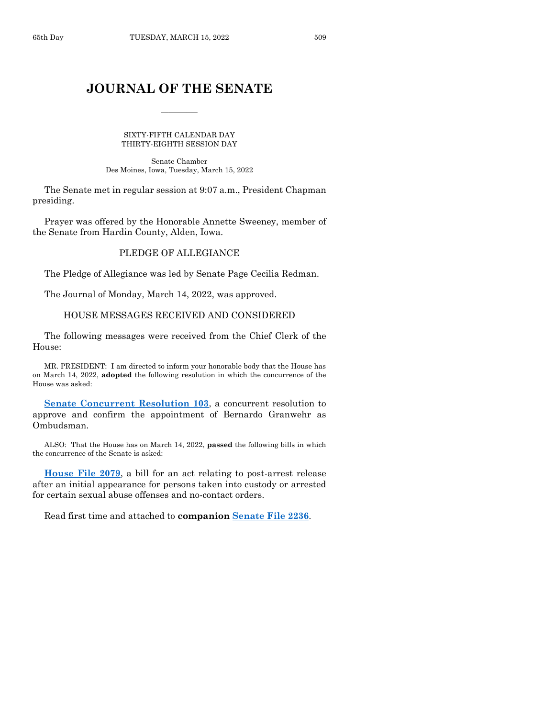## **JOURNAL OF THE SENATE**

 $\frac{1}{2}$ 

SIXTY-FIFTH CALENDAR DAY THIRTY-EIGHTH SESSION DAY

Senate Chamber Des Moines, Iowa, Tuesday, March 15, 2022

The Senate met in regular session at 9:07 a.m., President Chapman presiding.

Prayer was offered by the Honorable Annette Sweeney, member of the Senate from Hardin County, Alden, Iowa.

## PLEDGE OF ALLEGIANCE

The Pledge of Allegiance was led by Senate Page Cecilia Redman.

The Journal of Monday, March 14, 2022, was approved.

## HOUSE MESSAGES RECEIVED AND CONSIDERED

The following messages were received from the Chief Clerk of the House:

MR. PRESIDENT: I am directed to inform your honorable body that the House has on March 14, 2022, **adopted** the following resolution in which the concurrence of the House was asked:

**[Senate Concurrent Resolution 103](https://www.legis.iowa.gov/legislation/BillBook?ga=89&ba=SCR103)**, a concurrent resolution to approve and confirm the appointment of Bernardo Granwehr as Ombudsman.

ALSO: That the House has on March 14, 2022, **passed** the following bills in which the concurrence of the Senate is asked:

**[House File 2079](https://www.legis.iowa.gov/legislation/BillBook?ga=89&ba=HF2079)**, a bill for an act relating to post-arrest release after an initial appearance for persons taken into custody or arrested for certain sexual abuse offenses and no-contact orders.

Read first time and attached to **companion [Senate File 2236](https://www.legis.iowa.gov/legislation/BillBook?ga=89&ba=SF2236)**.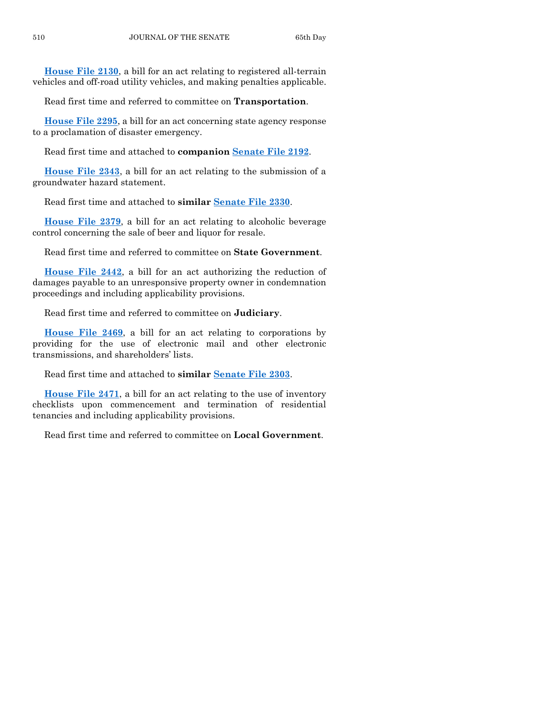**[House File 2130](https://www.legis.iowa.gov/legislation/BillBook?ga=89&ba=HF2130)**, a bill for an act relating to registered all-terrain vehicles and off-road utility vehicles, and making penalties applicable.

Read first time and referred to committee on **Transportation**.

**[House File 2295](https://www.legis.iowa.gov/legislation/BillBook?ga=89&ba=HF2295)**, a bill for an act concerning state agency response to a proclamation of disaster emergency.

Read first time and attached to **companion [Senate File 2192](https://www.legis.iowa.gov/legislation/BillBook?ga=89&ba=SF2192)**.

**[House File 2343](https://www.legis.iowa.gov/legislation/BillBook?ga=89&ba=HF2343)**, a bill for an act relating to the submission of a groundwater hazard statement.

Read first time and attached to **similar [Senate File 2330](https://www.legis.iowa.gov/legislation/BillBook?ga=89&ba=SF2330)**.

**[House File 2379](https://www.legis.iowa.gov/legislation/BillBook?ga=89&ba=HF2379)**, a bill for an act relating to alcoholic beverage control concerning the sale of beer and liquor for resale.

Read first time and referred to committee on **State Government**.

**[House File 2442](https://www.legis.iowa.gov/legislation/BillBook?ga=89&ba=HF2442)**, a bill for an act authorizing the reduction of damages payable to an unresponsive property owner in condemnation proceedings and including applicability provisions.

Read first time and referred to committee on **Judiciary**.

**[House File 2469](https://www.legis.iowa.gov/legislation/BillBook?ga=89&ba=HF2469)**, a bill for an act relating to corporations by providing for the use of electronic mail and other electronic transmissions, and shareholders' lists.

Read first time and attached to **similar [Senate File 2303](https://www.legis.iowa.gov/legislation/BillBook?ga=89&ba=SF2303)**.

**[House File 2471](https://www.legis.iowa.gov/legislation/BillBook?ga=89&ba=HF2471)**, a bill for an act relating to the use of inventory checklists upon commencement and termination of residential tenancies and including applicability provisions.

Read first time and referred to committee on **Local Government**.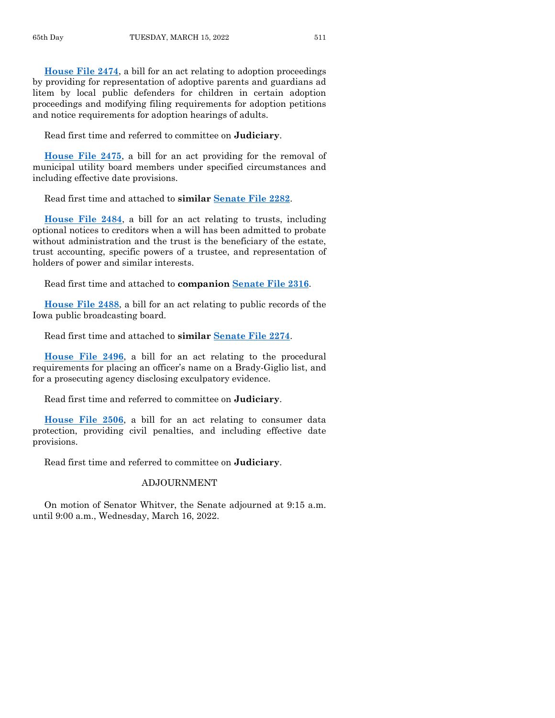**[House File 2474](https://www.legis.iowa.gov/legislation/BillBook?ga=89&ba=HF2474)**, a bill for an act relating to adoption proceedings by providing for representation of adoptive parents and guardians ad litem by local public defenders for children in certain adoption proceedings and modifying filing requirements for adoption petitions and notice requirements for adoption hearings of adults.

Read first time and referred to committee on **Judiciary**.

**[House File](https://www.legis.iowa.gov/legislation/BillBook?ga=89&ba=HF2475) 2475**, a bill for an act providing for the removal of municipal utility board members under specified circumstances and including effective date provisions.

Read first time and attached to **similar [Senate File 2282](https://www.legis.iowa.gov/legislation/BillBook?ga=89&ba=SF2282)**.

**[House File 2484](https://www.legis.iowa.gov/legislation/BillBook?ga=89&ba=HF2484)**, a bill for an act relating to trusts, including optional notices to creditors when a will has been admitted to probate without administration and the trust is the beneficiary of the estate, trust accounting, specific powers of a trustee, and representation of holders of power and similar interests.

Read first time and attached to **companion [Senate File 2316](https://www.legis.iowa.gov/legislation/BillBook?ga=89&ba=SF2316)**.

**[House File 2488](https://www.legis.iowa.gov/legislation/BillBook?ga=89&ba=HF2488)**, a bill for an act relating to public records of the Iowa public broadcasting board.

Read first time and attached to **similar [Senate File 2274](https://www.legis.iowa.gov/legislation/BillBook?ga=89&ba=SF2274)**.

**[House File 2496](https://www.legis.iowa.gov/legislation/BillBook?ga=89&ba=HF2496)**, a bill for an act relating to the procedural requirements for placing an officer's name on a Brady-Giglio list, and for a prosecuting agency disclosing exculpatory evidence.

Read first time and referred to committee on **Judiciary**.

**House [File 2506](https://www.legis.iowa.gov/legislation/BillBook?ga=89&ba=HF2506)**, a bill for an act relating to consumer data protection, providing civil penalties, and including effective date provisions.

Read first time and referred to committee on **Judiciary**.

## ADJOURNMENT

On motion of Senator Whitver, the Senate adjourned at 9:15 a.m. until 9:00 a.m., Wednesday, March 16, 2022.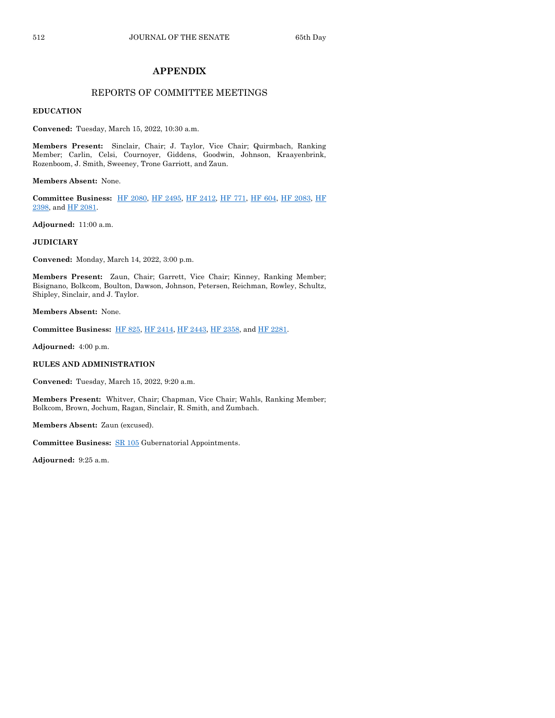## **APPENDIX**

## REPORTS OF COMMITTEE MEETINGS

**EDUCATION**

**Convened:** Tuesday, March 15, 2022, 10:30 a.m.

**Members Present:** Sinclair, Chair; J. Taylor, Vice Chair; Quirmbach, Ranking Member; Carlin, Celsi, Cournoyer, Giddens, Goodwin, Johnson, Kraayenbrink, Rozenboom, J. Smith, Sweeney, Trone Garriott, and Zaun.

**Members Absent:** None.

**Committee Business:** [HF 2080,](https://www.legis.iowa.gov/legislation/BillBook?ga=89&ba=HF2080) [HF 2495,](https://www.legis.iowa.gov/legislation/BillBook?ga=89&ba=HF2495) [HF 2412,](https://www.legis.iowa.gov/legislation/BillBook?ga=89&ba=HF2412) [HF 771,](https://www.legis.iowa.gov/legislation/BillBook?ga=89&ba=HF771) [HF 604,](https://www.legis.iowa.gov/legislation/BillBook?ga=89&ba=HF604) [HF 2083,](https://www.legis.iowa.gov/legislation/BillBook?ga=89&ba=HF2083) [HF](https://www.legis.iowa.gov/legislation/BillBook?ga=89&ba=HF2398)  [2398,](https://www.legis.iowa.gov/legislation/BillBook?ga=89&ba=HF2398) an[d HF 2081.](https://www.legis.iowa.gov/legislation/BillBook?ga=89&ba=HF2081)

**Adjourned:** 11:00 a.m.

#### **JUDICIARY**

**Convened:** Monday, March 14, 2022, 3:00 p.m.

**Members Present:** Zaun, Chair; Garrett, Vice Chair; Kinney, Ranking Member; Bisignano, Bolkcom, Boulton, Dawson, Johnson, Petersen, Reichman, Rowley, Schultz, Shipley, Sinclair, and J. Taylor.

**Members Absent:** None.

**Committee Business:** [HF 825,](https://www.legis.iowa.gov/legislation/BillBook?ga=89&ba=HF825) [HF 2414,](https://www.legis.iowa.gov/legislation/BillBook?ga=89&ba=HF2414) [HF 2443,](https://www.legis.iowa.gov/legislation/BillBook?ga=89&ba=HF2443) [HF 2358,](https://www.legis.iowa.gov/legislation/BillBook?ga=89&ba=HF2358) an[d HF 2281.](https://www.legis.iowa.gov/legislation/BillBook?ga=89&ba=HF2281)

**Adjourned:** 4:00 p.m.

#### **RULES AND ADMINISTRATION**

**Convened:** Tuesday, March 15, 2022, 9:20 a.m.

**Members Present:** Whitver, Chair; Chapman, Vice Chair; Wahls, Ranking Member; Bolkcom, Brown, Jochum, Ragan, Sinclair, R. Smith, and Zumbach.

**Members Absent:** Zaun (excused).

**Committee Business:** [SR 105](https://www.legis.iowa.gov/legislation/BillBook?ga=89&ba=SR105) Gubernatorial Appointments.

**Adjourned:** 9:25 a.m.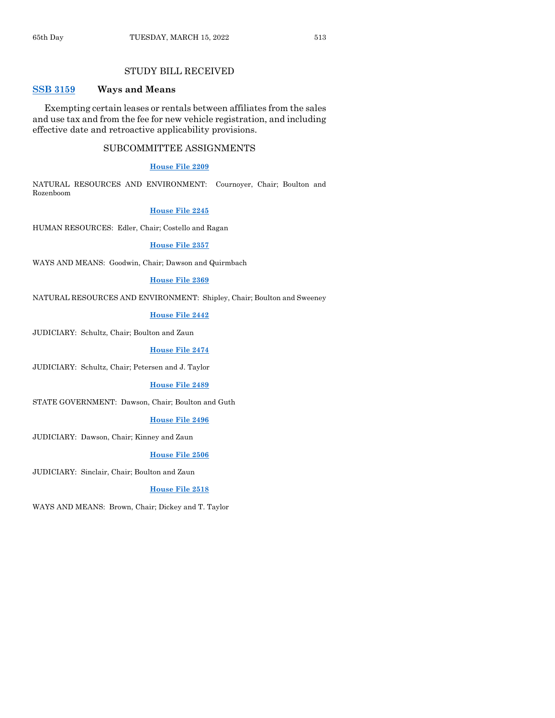## STUDY BILL RECEIVED

## **[SSB 3159](https://www.legis.iowa.gov/legislation/BillBook?ga=89&ba=SSB3159) Ways and Means**

Exempting certain leases or rentals between affiliates from the sales and use tax and from the fee for new vehicle registration, and including effective date and retroactive applicability provisions.

#### SUBCOMMITTEE ASSIGNMENTS

#### **[House File 2209](https://www.legis.iowa.gov/legislation/BillBook?ga=89&ba=HF2209)**

NATURAL RESOURCES AND ENVIRONMENT: Cournoyer, Chair; Boulton and Rozenboom

#### **[House File 2245](https://www.legis.iowa.gov/legislation/BillBook?ga=89&ba=HF2245)**

HUMAN RESOURCES: Edler, Chair; Costello and Ragan

#### **[House File 2357](https://www.legis.iowa.gov/legislation/BillBook?ga=89&ba=HF2357)**

WAYS AND MEANS: Goodwin, Chair; Dawson and Quirmbach

#### **[House File 2369](https://www.legis.iowa.gov/legislation/BillBook?ga=89&ba=HF2369)**

NATURAL RESOURCES AND ENVIRONMENT: Shipley, Chair; Boulton and Sweeney

#### **[House File 2442](https://www.legis.iowa.gov/legislation/BillBook?ga=89&ba=HF2442)**

JUDICIARY: Schultz, Chair; Boulton and Zaun

#### **[House File 2474](https://www.legis.iowa.gov/legislation/BillBook?ga=89&ba=HF2474)**

JUDICIARY: Schultz, Chair; Petersen and J. Taylor

#### **[House File 2489](https://www.legis.iowa.gov/legislation/BillBook?ga=89&ba=HF2489)**

STATE GOVERNMENT: Dawson, Chair; Boulton and Guth

#### **[House File 2496](https://www.legis.iowa.gov/legislation/BillBook?ga=89&ba=HF2496)**

JUDICIARY: Dawson, Chair; Kinney and Zaun

#### **[House File 2506](https://www.legis.iowa.gov/legislation/BillBook?ga=89&ba=HF2506)**

JUDICIARY: Sinclair, Chair; Boulton and Zaun

#### **[House File 2518](https://www.legis.iowa.gov/legislation/BillBook?ga=89&ba=HF2518)**

WAYS AND MEANS: Brown, Chair; Dickey and T. Taylor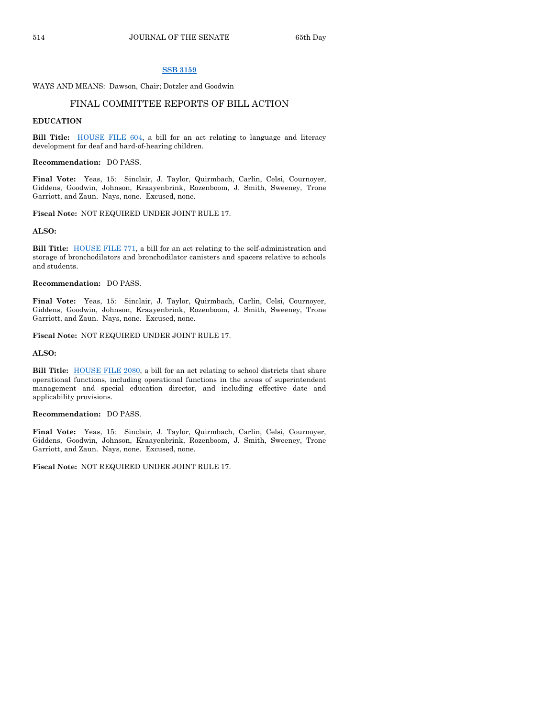#### **[SSB 3159](https://www.legis.iowa.gov/legislation/BillBook?ga=89&ba=SSB3159)**

WAYS AND MEANS: Dawson, Chair; Dotzler and Goodwin

## FINAL COMMITTEE REPORTS OF BILL ACTION

#### **EDUCATION**

Bill Title: **HOUSE FILE 604**, a bill for an act relating to language and literacy development for deaf and hard-of-hearing children.

**Recommendation:** DO PASS.

**Final Vote:** Yeas, 15: Sinclair, J. Taylor, Quirmbach, Carlin, Celsi, Cournoyer, Giddens, Goodwin, Johnson, Kraayenbrink, Rozenboom, J. Smith, Sweeney, Trone Garriott, and Zaun. Nays, none. Excused, none.

**Fiscal Note:** NOT REQUIRED UNDER JOINT RULE 17.

#### **ALSO:**

**Bill Title:** [HOUSE FILE 771,](https://www.legis.iowa.gov/legislation/BillBook?ga=89&ba=HF771) a bill for an act relating to the self-administration and storage of bronchodilators and bronchodilator canisters and spacers relative to schools and students.

#### **Recommendation:** DO PASS.

**Final Vote:** Yeas, 15: Sinclair, J. Taylor, Quirmbach, Carlin, Celsi, Cournoyer, Giddens, Goodwin, Johnson, Kraayenbrink, Rozenboom, J. Smith, Sweeney, Trone Garriott, and Zaun. Nays, none. Excused, none.

**Fiscal Note:** NOT REQUIRED UNDER JOINT RULE 17.

#### **ALSO:**

**Bill Title:** [HOUSE FILE 2080,](https://www.legis.iowa.gov/legislation/BillBook?ga=89&ba=HF2080) a bill for an act relating to school districts that share operational functions, including operational functions in the areas of superintendent management and special education director, and including effective date and applicability provisions.

#### **Recommendation:** DO PASS.

**Final Vote:** Yeas, 15: Sinclair, J. Taylor, Quirmbach, Carlin, Celsi, Cournoyer, Giddens, Goodwin, Johnson, Kraayenbrink, Rozenboom, J. Smith, Sweeney, Trone Garriott, and Zaun. Nays, none. Excused, none.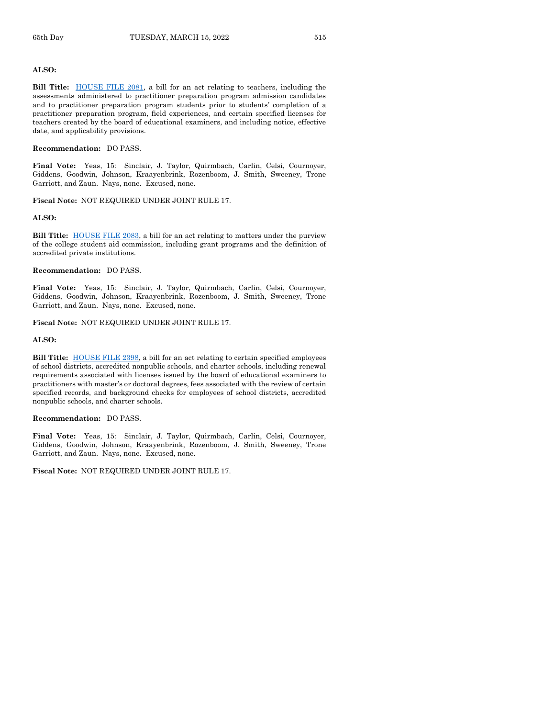#### **ALSO:**

**Bill Title:** [HOUSE FILE 2081,](https://www.legis.iowa.gov/legislation/BillBook?ga=89&ba=HF2081) a bill for an act relating to teachers, including the assessments administered to practitioner preparation program admission candidates and to practitioner preparation program students prior to students' completion of a practitioner preparation program, field experiences, and certain specified licenses for teachers created by the board of educational examiners, and including notice, effective date, and applicability provisions.

#### **Recommendation:** DO PASS.

**Final Vote:** Yeas, 15: Sinclair, J. Taylor, Quirmbach, Carlin, Celsi, Cournoyer, Giddens, Goodwin, Johnson, Kraayenbrink, Rozenboom, J. Smith, Sweeney, Trone Garriott, and Zaun. Nays, none. Excused, none.

#### **Fiscal Note:** NOT REQUIRED UNDER JOINT RULE 17.

#### **ALSO:**

**Bill Title:** [HOUSE FILE 2083,](https://www.legis.iowa.gov/legislation/BillBook?ga=89&ba=HF2083) a bill for an act relating to matters under the purview of the college student aid commission, including grant programs and the definition of accredited private institutions.

#### **Recommendation:** DO PASS.

**Final Vote:** Yeas, 15: Sinclair, J. Taylor, Quirmbach, Carlin, Celsi, Cournoyer, Giddens, Goodwin, Johnson, Kraayenbrink, Rozenboom, J. Smith, Sweeney, Trone Garriott, and Zaun. Nays, none. Excused, none.

#### **Fiscal Note:** NOT REQUIRED UNDER JOINT RULE 17.

#### **ALSO:**

**Bill Title:** [HOUSE FILE 2398,](https://www.legis.iowa.gov/legislation/BillBook?ga=89&ba=HF2398) a bill for an act relating to certain specified employees of school districts, accredited nonpublic schools, and charter schools, including renewal requirements associated with licenses issued by the board of educational examiners to practitioners with master's or doctoral degrees, fees associated with the review of certain specified records, and background checks for employees of school districts, accredited nonpublic schools, and charter schools.

#### **Recommendation:** DO PASS.

**Final Vote:** Yeas, 15: Sinclair, J. Taylor, Quirmbach, Carlin, Celsi, Cournoyer, Giddens, Goodwin, Johnson, Kraayenbrink, Rozenboom, J. Smith, Sweeney, Trone Garriott, and Zaun. Nays, none. Excused, none.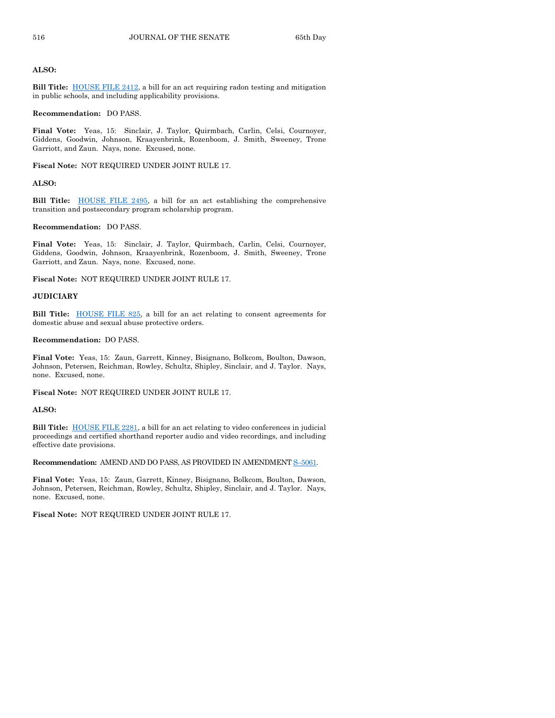#### **ALSO:**

**Bill Title:** [HOUSE FILE 2412,](https://www.legis.iowa.gov/legislation/BillBook?ga=89&ba=HF2412) a bill for an act requiring radon testing and mitigation in public schools, and including applicability provisions.

#### **Recommendation:** DO PASS.

**Final Vote:** Yeas, 15: Sinclair, J. Taylor, Quirmbach, Carlin, Celsi, Cournoyer, Giddens, Goodwin, Johnson, Kraayenbrink, Rozenboom, J. Smith, Sweeney, Trone Garriott, and Zaun. Nays, none. Excused, none.

**Fiscal Note:** NOT REQUIRED UNDER JOINT RULE 17.

#### **ALSO:**

**Bill Title:** [HOUSE FILE 2495,](https://www.legis.iowa.gov/legislation/BillBook?ga=89&ba=HF2495) a bill for an act establishing the comprehensive transition and postsecondary program scholarship program.

#### **Recommendation:** DO PASS.

**Final Vote:** Yeas, 15: Sinclair, J. Taylor, Quirmbach, Carlin, Celsi, Cournoyer, Giddens, Goodwin, Johnson, Kraayenbrink, Rozenboom, J. Smith, Sweeney, Trone Garriott, and Zaun. Nays, none. Excused, none.

**Fiscal Note:** NOT REQUIRED UNDER JOINT RULE 17.

#### **JUDICIARY**

**Bill Title:** [HOUSE FILE 825,](https://www.legis.iowa.gov/legislation/BillBook?ga=89&ba=HF825) a bill for an act relating to consent agreements for domestic abuse and sexual abuse protective orders.

#### **Recommendation:** DO PASS.

**Final Vote:** Yeas, 15: Zaun, Garrett, Kinney, Bisignano, Bolkcom, Boulton, Dawson, Johnson, Petersen, Reichman, Rowley, Schultz, Shipley, Sinclair, and J. Taylor. Nays, none. Excused, none.

**Fiscal Note:** NOT REQUIRED UNDER JOINT RULE 17.

#### **ALSO:**

**Bill Title:** [HOUSE FILE 2281,](https://www.legis.iowa.gov/legislation/BillBook?ga=89&ba=HF2281) a bill for an act relating to video conferences in judicial proceedings and certified shorthand reporter audio and video recordings, and including effective date provisions.

**Recommendation:** AMEND AND DO PASS, AS PROVIDED IN AMENDMENT S–[5061.](https://www.legis.iowa.gov/legislation/BillBook?ga=89&ba=S5061)

**Final Vote:** Yeas, 15: Zaun, Garrett, Kinney, Bisignano, Bolkcom, Boulton, Dawson, Johnson, Petersen, Reichman, Rowley, Schultz, Shipley, Sinclair, and J. Taylor. Nays, none. Excused, none.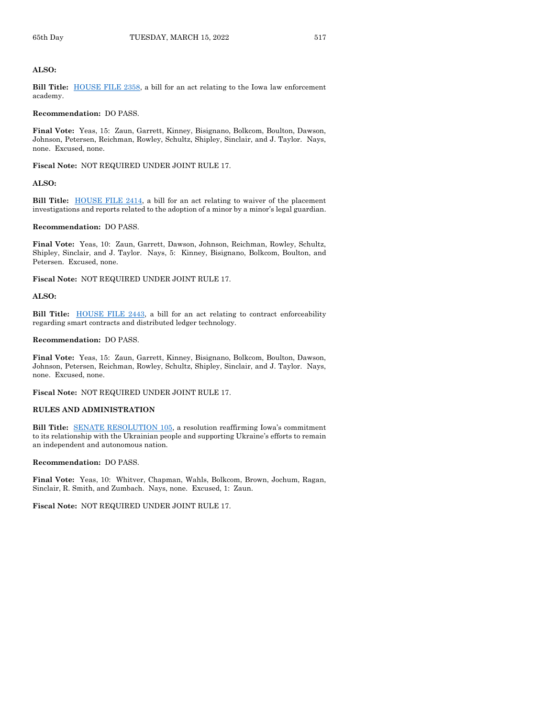#### **ALSO:**

**Bill Title:** [HOUSE FILE 2358,](https://www.legis.iowa.gov/legislation/BillBook?ga=89&ba=HF2358) a bill for an act relating to the Iowa law enforcement academy.

## **Recommendation:** DO PASS.

**Final Vote:** Yeas, 15: Zaun, Garrett, Kinney, Bisignano, Bolkcom, Boulton, Dawson, Johnson, Petersen, Reichman, Rowley, Schultz, Shipley, Sinclair, and J. Taylor. Nays, none. Excused, none.

**Fiscal Note:** NOT REQUIRED UNDER JOINT RULE 17.

## **ALSO:**

**Bill Title:** [HOUSE FILE 2414,](https://www.legis.iowa.gov/legislation/BillBook?ga=89&ba=HF2414) a bill for an act relating to waiver of the placement investigations and reports related to the adoption of a minor by a minor's legal guardian.

#### **Recommendation:** DO PASS.

**Final Vote:** Yeas, 10: Zaun, Garrett, Dawson, Johnson, Reichman, Rowley, Schultz, Shipley, Sinclair, and J. Taylor. Nays, 5: Kinney, Bisignano, Bolkcom, Boulton, and Petersen. Excused, none.

**Fiscal Note:** NOT REQUIRED UNDER JOINT RULE 17.

#### **ALSO:**

Bill Title: **HOUSE FILE 2443**, a bill for an act relating to contract enforceability regarding smart contracts and distributed ledger technology.

#### **Recommendation:** DO PASS.

**Final Vote:** Yeas, 15: Zaun, Garrett, Kinney, Bisignano, Bolkcom, Boulton, Dawson, Johnson, Petersen, Reichman, Rowley, Schultz, Shipley, Sinclair, and J. Taylor. Nays, none. Excused, none.

**Fiscal Note:** NOT REQUIRED UNDER JOINT RULE 17.

#### **RULES AND ADMINISTRATION**

**Bill Title:** [SENATE RESOLUTION 105,](https://www.legis.iowa.gov/legislation/BillBook?ga=89&ba=SR105) a resolution reaffirming Iowa's commitment to its relationship with the Ukrainian people and supporting Ukraine's efforts to remain an independent and autonomous nation.

#### **Recommendation:** DO PASS.

**Final Vote:** Yeas, 10: Whitver, Chapman, Wahls, Bolkcom, Brown, Jochum, Ragan, Sinclair, R. Smith, and Zumbach. Nays, none. Excused, 1: Zaun.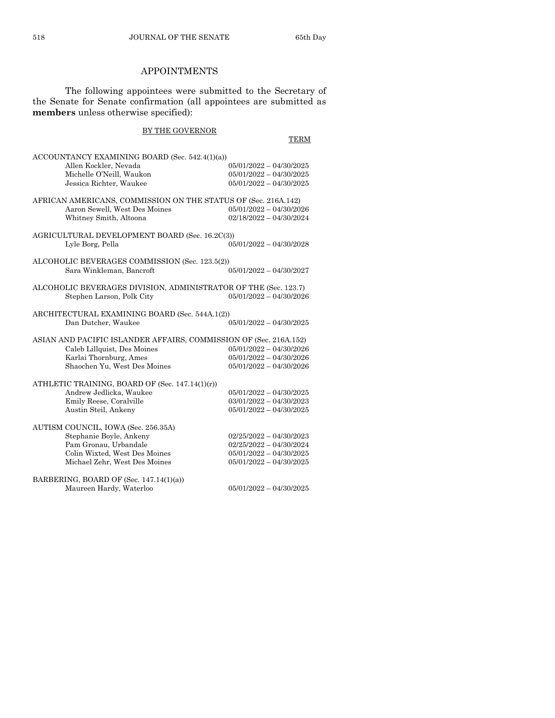## APPOINTMENTS

The following appointees were submitted to the Secretary of the Senate for Senate confirmation (all appointees are submitted as **members** unless otherwise specified):

## BY THE GOVERNOR

**TERM** 

| ACCOUNTANCY EXAMINING BOARD (Sec. 542.4(1)(a))<br>Allen Kockler, Nevada<br>Michelle O'Neill, Waukon<br>Jessica Richter, Waukee | $05/01/2022 - 04/30/2025$<br>$05/01/2022 - 04/30/2025$<br>$05/01/2022 - 04/30/2025$ |  |
|--------------------------------------------------------------------------------------------------------------------------------|-------------------------------------------------------------------------------------|--|
| AFRICAN AMERICANS, COMMISSION ON THE STATUS OF (Sec. 216A.142)<br>Aaron Sewell, West Des Moines<br>Whitney Smith, Altoona      | $05/01/2022 - 04/30/2026$<br>$02/18/2022 - 04/30/2024$                              |  |
| AGRICULTURAL DEVELOPMENT BOARD (Sec. 16.2C(3))<br>Lyle Borg, Pella                                                             | $05/01/2022 - 04/30/2028$                                                           |  |
| ALCOHOLIC BEVERAGES COMMISSION (Sec. 123.5(2))<br>Sara Winkleman, Bancroft                                                     | $05/01/2022 - 04/30/2027$                                                           |  |
| ALCOHOLIC BEVERAGES DIVISION, ADMINISTRATOR OF THE (Sec. 123.7)<br>Stephen Larson, Polk City                                   | $05/01/2022 - 04/30/2026$                                                           |  |
| ARCHITECTURAL EXAMINING BOARD (Sec. 544A.1(2))<br>Dan Dutcher, Waukee                                                          | $05/01/2022 - 04/30/2025$                                                           |  |
| ASIAN AND PACIFIC ISLANDER AFFAIRS, COMMISSION OF (Sec. 216A.152)                                                              |                                                                                     |  |
| Caleb Lillquist, Des Moines                                                                                                    | $05/01/2022 - 04/30/2026$                                                           |  |
| Karlai Thornburg, Ames                                                                                                         | $05/01/2022 - 04/30/2026$                                                           |  |
| Shaochen Yu, West Des Moines                                                                                                   | $05/01/2022 - 04/30/2026$                                                           |  |
| ATHLETIC TRAINING, BOARD OF (Sec. 147.14(1)(r))                                                                                |                                                                                     |  |
| Andrew Jedlicka, Waukee                                                                                                        | $05/01/2022 - 04/30/2025$                                                           |  |
| Emily Reese, Coralville                                                                                                        | $03/01/2022 - 04/30/2023$                                                           |  |
| Austin Steil, Ankeny                                                                                                           | $05/01/2022 - 04/30/2025$                                                           |  |
| AUTISM COUNCIL, IOWA (Sec. 256.35A)                                                                                            |                                                                                     |  |
| Stephanie Boyle, Ankeny                                                                                                        | $02/25/2022 - 04/30/2023$                                                           |  |
| Pam Gronau, Urbandale                                                                                                          | $02/25/2022 - 04/30/2024$                                                           |  |
| Colin Wixted, West Des Moines                                                                                                  | $05/01/2022 - 04/30/2025$                                                           |  |
| Michael Zehr, West Des Moines                                                                                                  | $05/01/2022 - 04/30/2025$                                                           |  |
| BARBERING, BOARD OF (Sec. 147.14(1)(a))                                                                                        |                                                                                     |  |
| Maureen Hardy, Waterloo                                                                                                        | $05/01/2022 - 04/30/2025$                                                           |  |
|                                                                                                                                |                                                                                     |  |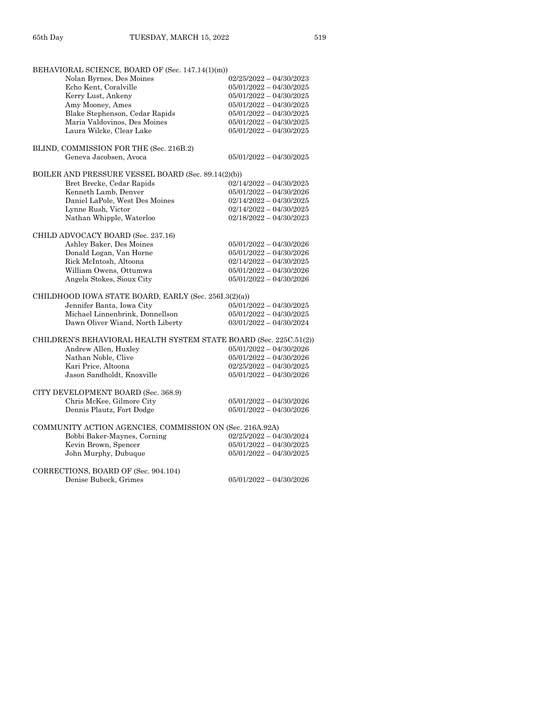| BEHAVIORAL SCIENCE, BOARD OF (Sec. 147.14(1)(m))                  |                           |
|-------------------------------------------------------------------|---------------------------|
| Nolan Byrnes, Des Moines                                          | $02/25/2022 - 04/30/2023$ |
| Echo Kent, Coralville                                             | $05/01/2022 - 04/30/2025$ |
| Kerry Lust, Ankeny                                                | $05/01/2022 - 04/30/2025$ |
| Amy Mooney, Ames                                                  | $05/01/2022 - 04/30/2025$ |
| Blake Stephenson, Cedar Rapids                                    | $05/01/2022 - 04/30/2025$ |
| Maria Valdovinos, Des Moines                                      | $05/01/2022 - 04/30/2025$ |
| Laura Wilcke, Clear Lake                                          | $05/01/2022 - 04/30/2025$ |
| BLIND, COMMISSION FOR THE (Sec. 216B.2)                           |                           |
| Geneva Jacobsen, Avoca                                            | $05/01/2022 - 04/30/2025$ |
| BOILER AND PRESSURE VESSEL BOARD (Sec. 89.14(2)(b))               |                           |
| Bret Brecke, Cedar Rapids                                         | $02/14/2022 - 04/30/2025$ |
| Kenneth Lamb, Denver                                              | $05/01/2022 - 04/30/2026$ |
| Daniel LaPole, West Des Moines                                    | $02/14/2022 - 04/30/2025$ |
| Lynne Rush, Victor                                                | $02/14/2022 - 04/30/2025$ |
| Nathan Whipple, Waterloo                                          | $02/18/2022 - 04/30/2023$ |
| CHILD ADVOCACY BOARD (Sec. 237.16)                                |                           |
| Ashley Baker, Des Moines                                          | $05/01/2022 - 04/30/2026$ |
| Donald Logan, Van Horne                                           | $05/01/2022 - 04/30/2026$ |
| Rick McIntosh, Altoona                                            | $02/14/2022 - 04/30/2025$ |
|                                                                   |                           |
| William Owens, Ottumwa                                            | $05/01/2022 - 04/30/2026$ |
| Angela Stokes, Sioux City                                         | $05/01/2022 - 04/30/2026$ |
| CHILDHOOD IOWA STATE BOARD, EARLY (Sec. 256I.3(2)(a))             |                           |
| Jennifer Banta, Iowa City                                         | $05/01/2022 - 04/30/2025$ |
| Michael Linnenbrink, Donnellson                                   | $05/01/2022 - 04/30/2025$ |
| Dawn Oliver Wiand, North Liberty                                  | $03/01/2022 - 04/30/2024$ |
| CHILDREN'S BEHAVIORAL HEALTH SYSTEM STATE BOARD (Sec. 225C.51(2)) |                           |
| Andrew Allen, Huxley                                              | $05/01/2022 - 04/30/2026$ |
| Nathan Noble, Clive                                               | $05/01/2022 - 04/30/2026$ |
| Kari Price, Altoona                                               | $02/25/2022 - 04/30/2025$ |
| Jason Sandholdt, Knoxville                                        | $05/01/2022 - 04/30/2026$ |
| CITY DEVELOPMENT BOARD (Sec. 368.9)                               |                           |
|                                                                   | $05/01/2022 - 04/30/2026$ |
| Chris McKee, Gilmore City                                         |                           |
| Dennis Plautz, Fort Dodge                                         | $05/01/2022 - 04/30/2026$ |
| COMMUNITY ACTION AGENCIES, COMMISSION ON (Sec. 216A.92A)          |                           |
| Bobbi Baker-Maynes, Corning                                       | $02/25/2022 - 04/30/2024$ |
| Kevin Brown, Spencer                                              | $05/01/2022 - 04/30/2025$ |
| John Murphy, Dubuque                                              | $05/01/2022 - 04/30/2025$ |
| CORRECTIONS, BOARD OF (Sec. 904.104)                              |                           |
| Denise Bubeck, Grimes                                             | $05/01/2022 - 04/30/2026$ |
|                                                                   |                           |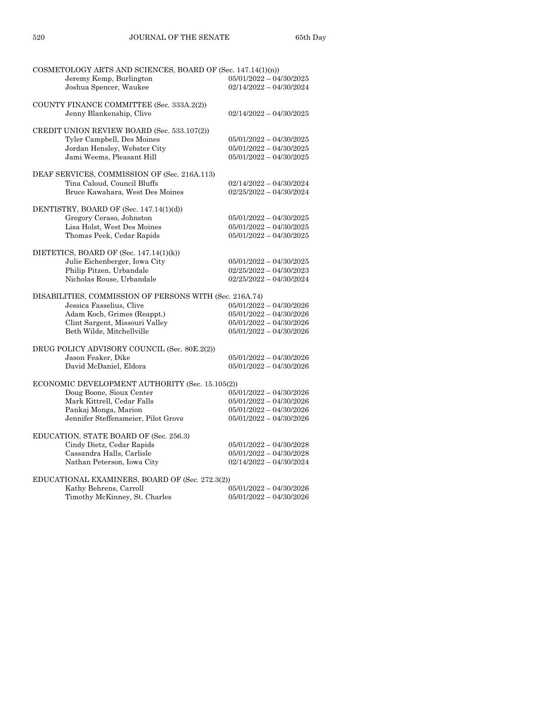| COSMETOLOGY ARTS AND SCIENCES, BOARD OF (Sec. 147.14(1)(n)) |                           |
|-------------------------------------------------------------|---------------------------|
| Jeremy Kemp, Burlington                                     | $05/01/2022 - 04/30/2025$ |
| Joshua Spencer, Waukee                                      | $02/14/2022 - 04/30/2024$ |
|                                                             |                           |
| COUNTY FINANCE COMMITTEE (Sec. 333A.2(2))                   |                           |
| Jenny Blankenship, Clive                                    |                           |
|                                                             | $02/14/2022 - 04/30/2025$ |
|                                                             |                           |
| CREDIT UNION REVIEW BOARD (Sec. 533.107(2))                 |                           |
| Tyler Campbell, Des Moines                                  | $05/01/2022 - 04/30/2025$ |
| Jordan Hensley, Webster City                                | $05/01/2022 - 04/30/2025$ |
| Jami Weems, Pleasant Hill                                   | $05/01/2022 - 04/30/2025$ |
|                                                             |                           |
| DEAF SERVICES, COMMISSION OF (Sec. 216A.113)                |                           |
| Tina Caloud, Council Bluffs                                 | $02/14/2022 - 04/30/2024$ |
| Bruce Kawahara, West Des Moines                             | $02/25/2022 - 04/30/2024$ |
|                                                             |                           |
|                                                             |                           |
| DENTISTRY, BOARD OF (Sec. 147.14(1)(d))                     |                           |
| Gregory Ceraso, Johnston                                    | $05/01/2022 - 04/30/2025$ |
| Lisa Holst, West Des Moines                                 | $05/01/2022 - 04/30/2025$ |
| Thomas Peek, Cedar Rapids                                   | $05/01/2022 - 04/30/2025$ |
|                                                             |                           |
| DIETETICS, BOARD OF (Sec. 147.14(1)(k))                     |                           |
| Julie Eichenberger, Iowa City                               | $05/01/2022 - 04/30/2025$ |
| Philip Pitzen, Urbandale                                    | $02/25/2022 - 04/30/2023$ |
| Nicholas Rouse, Urbandale                                   | $02/25/2022 - 04/30/2024$ |
|                                                             |                           |
|                                                             |                           |
| DISABILITIES, COMMISSION OF PERSONS WITH (Sec. 216A.74)     |                           |
| Jessica Fasselius, Clive                                    | $05/01/2022 - 04/30/2026$ |
| Adam Koch, Grimes (Reappt.)                                 | $05/01/2022 - 04/30/2026$ |
| Clint Sargent, Missouri Valley                              | $05/01/2022 - 04/30/2026$ |
| Beth Wilde, Mitchellville                                   | $05/01/2022 - 04/30/2026$ |
|                                                             |                           |
| DRUG POLICY ADVISORY COUNCIL (Sec. 80E.2(2))                |                           |
| Jason Feaker, Dike                                          | $05/01/2022 - 04/30/2026$ |
| David McDaniel, Eldora                                      | $05/01/2022 - 04/30/2026$ |
|                                                             |                           |
| ECONOMIC DEVELOPMENT AUTHORITY (Sec. 15.105(2))             |                           |
| Doug Boone, Sioux Center                                    | $05/01/2022 - 04/30/2026$ |
| Mark Kittrell, Cedar Falls                                  | $05/01/2022 - 04/30/2026$ |
|                                                             |                           |
| Pankaj Monga, Marion                                        | $05/01/2022 - 04/30/2026$ |
| Jennifer Steffensmeier, Pilot Grove                         | $05/01/2022 - 04/30/2026$ |
|                                                             |                           |
| EDUCATION, STATE BOARD OF (Sec. 256.3)                      |                           |
| Cindy Dietz, Cedar Rapids                                   | $05/01/2022 - 04/30/2028$ |
| Cassandra Halls, Carlisle                                   | $05/01/2022 - 04/30/2028$ |
| Nathan Peterson, Iowa City                                  | $02/14/2022 - 04/30/2024$ |
|                                                             |                           |
| EDUCATIONAL EXAMINERS, BOARD OF (Sec. 272.3(2))             |                           |
| Kathy Behrens, Carroll                                      | $05/01/2022 - 04/30/2026$ |
| Timothy McKinney, St. Charles                               | $05/01/2022 - 04/30/2026$ |
|                                                             |                           |
|                                                             |                           |
|                                                             |                           |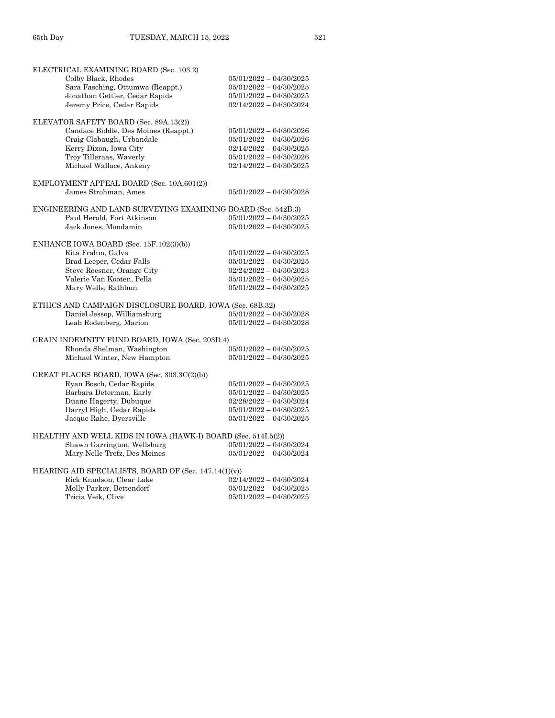| ELECTRICAL EXAMINING BOARD (Sec. 103.2)                       |                                                        |
|---------------------------------------------------------------|--------------------------------------------------------|
| Colby Black, Rhodes                                           | $05/01/2022 - 04/30/2025$                              |
| Sara Fasching, Ottumwa (Reappt.)                              | $05/01/2022 - 04/30/2025$                              |
| Jonathan Gettler, Cedar Rapids                                | $05/01/2022 - 04/30/2025$                              |
| Jeremy Price, Cedar Rapids                                    | $02/14/2022 - 04/30/2024$                              |
| ELEVATOR SAFETY BOARD (Sec. 89A.13(2))                        |                                                        |
| Candace Biddle, Des Moines (Reappt.)                          | $05/01/2022 - 04/30/2026$                              |
| Craig Clabaugh, Urbandale                                     | $05/01/2022 - 04/30/2026$                              |
| Kerry Dixon, Iowa City                                        | $02/14/2022 - 04/30/2025$                              |
| Troy Tilleraas, Waverly                                       | $05/01/2022 - 04/30/2026$                              |
| Michael Wallace, Ankeny                                       | $02/14/2022 - 04/30/2025$                              |
| EMPLOYMENT APPEAL BOARD (Sec. 10A.601(2))                     |                                                        |
| James Strohman, Ames                                          | $05/01/2022 - 04/30/2028$                              |
| ENGINEERING AND LAND SURVEYING EXAMINING BOARD (Sec. 542B.3)  |                                                        |
| Paul Herold, Fort Atkinson                                    | $05/01/2022 - 04/30/2025$                              |
| Jack Jones, Mondamin                                          | $05/01/2022 - 04/30/2025$                              |
|                                                               |                                                        |
| ENHANCE IOWA BOARD (Sec. 15F.102(3)(b))                       |                                                        |
| Rita Frahm, Galva                                             | $05/01/2022 - 04/30/2025$                              |
| Brad Leeper, Cedar Falls                                      | $05/01/2022 - 04/30/2025$                              |
| Steve Roesner, Orange City                                    | $02/24/2022 - 04/30/2023$                              |
| Valerie Van Kooten, Pella                                     | $05/01/2022 - 04/30/2025$                              |
| Mary Wells, Rathbun                                           | $05/01/2022 - 04/30/2025$                              |
|                                                               |                                                        |
| ETHICS AND CAMPAIGN DISCLOSURE BOARD, IOWA (Sec. 68B.32)      |                                                        |
| Daniel Jessop, Williamsburg                                   | $05/01/2022 - 04/30/2028$                              |
| Leah Rodenberg, Marion                                        | $05/01/2022 - 04/30/2028$                              |
| GRAIN INDEMNITY FUND BOARD, IOWA (Sec. 203D.4)                |                                                        |
| Rhonda Shelman, Washington                                    | $05/01/2022 - 04/30/2025$                              |
| Michael Winter, New Hampton                                   | $05/01/2022 - 04/30/2025$                              |
| GREAT PLACES BOARD, IOWA (Sec. 303.3C(2)(b))                  |                                                        |
| Ryan Bosch, Cedar Rapids                                      | $05/01/2022 - 04/30/2025$                              |
| Barbara Determan, Early                                       | $05/01/2022 - 04/30/2025$                              |
| Duane Hagerty, Dubuque                                        | $02/28/2022 - 04/30/2024$                              |
| Darryl High, Cedar Rapids                                     | $05/01/2022 - 04/30/2025$                              |
| Jacque Rahe, Dyersville                                       | $05/01/2022 - 04/30/2025$                              |
|                                                               |                                                        |
| HEALTHY AND WELL KIDS IN IOWA (HAWK-I) BOARD (Sec. 514I.5(2)) |                                                        |
| Shawn Garrington, Wellsburg<br>Mary Nelle Trefz, Des Moines   | $05/01/2022 - 04/30/2024$<br>$05/01/2022 - 04/30/2024$ |
|                                                               |                                                        |
| HEARING AID SPECIALISTS, BOARD OF (Sec. 147.14(1)(v))         |                                                        |
| Rick Knudson, Clear Lake                                      | $02/14/2022 - 04/30/2024$                              |
| Molly Parker, Bettendorf                                      | $05/01/2022 - 04/30/2025$                              |
| Tricia Veik, Clive                                            | $05/01/2022 - 04/30/2025$                              |
|                                                               |                                                        |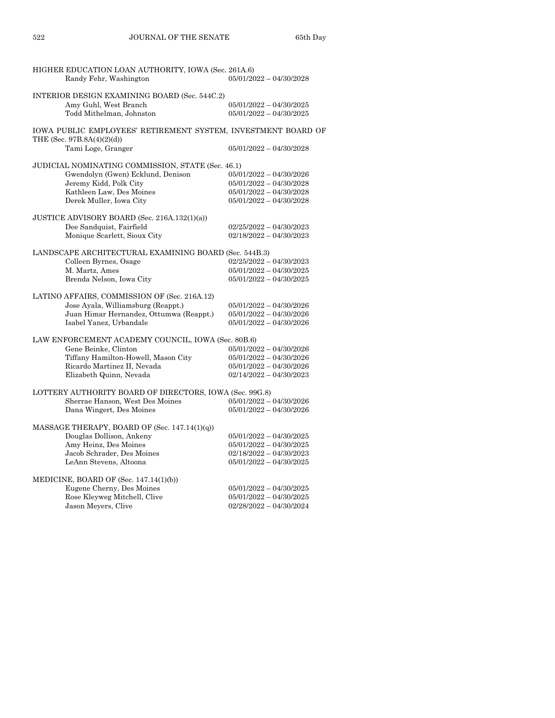| HIGHER EDUCATION LOAN AUTHORITY, IOWA (Sec. 261A.6)           |                           |
|---------------------------------------------------------------|---------------------------|
| Randy Fehr, Washington                                        | $05/01/2022 - 04/30/2028$ |
|                                                               |                           |
| INTERIOR DESIGN EXAMINING BOARD (Sec. 544C.2)                 |                           |
| Amy Guhl, West Branch                                         | $05/01/2022 - 04/30/2025$ |
| Todd Mithelman, Johnston                                      | $05/01/2022 - 04/30/2025$ |
|                                                               |                           |
| IOWA PUBLIC EMPLOYEES' RETIREMENT SYSTEM, INVESTMENT BOARD OF |                           |
| THE (Sec. 97B.8A(4)(2)(d))                                    |                           |
| Tami Loge, Granger                                            | $05/01/2022 - 04/30/2028$ |
|                                                               |                           |
| JUDICIAL NOMINATING COMMISSION, STATE (Sec. 46.1)             |                           |
| Gwendolyn (Gwen) Ecklund, Denison                             | $05/01/2022 - 04/30/2026$ |
| Jeremy Kidd, Polk City                                        | $05/01/2022 - 04/30/2028$ |
| Kathleen Law, Des Moines                                      | $05/01/2022 - 04/30/2028$ |
|                                                               | $05/01/2022 - 04/30/2028$ |
| Derek Muller, Iowa City                                       |                           |
|                                                               |                           |
| JUSTICE ADVISORY BOARD (Sec. 216A.132(1)(a))                  |                           |
| Dee Sandquist, Fairfield                                      | $02/25/2022 - 04/30/2023$ |
| Monique Scarlett, Sioux City                                  | $02/18/2022 - 04/30/2023$ |
|                                                               |                           |
| LANDSCAPE ARCHITECTURAL EXAMINING BOARD (Sec. 544B.3)         |                           |
| Colleen Byrnes, Osage                                         | $02/25/2022 - 04/30/2023$ |
| M. Martz, Ames                                                | $05/01/2022 - 04/30/2025$ |
| Brenda Nelson, Iowa City                                      | $05/01/2022 - 04/30/2025$ |
|                                                               |                           |
| LATINO AFFAIRS, COMMISSION OF (Sec. 216A.12)                  |                           |
| Jose Ayala, Williamsburg (Reappt.)                            | $05/01/2022 - 04/30/2026$ |
| Juan Himar Hernandez, Ottumwa (Reappt.)                       | $05/01/2022 - 04/30/2026$ |
| Isabel Yanez, Urbandale                                       | $05/01/2022 - 04/30/2026$ |
|                                                               |                           |
| LAW ENFORCEMENT ACADEMY COUNCIL, IOWA (Sec. 80B.6)            |                           |
| Gene Beinke, Clinton                                          | $05/01/2022 - 04/30/2026$ |
| Tiffany Hamilton-Howell, Mason City                           | $05/01/2022 - 04/30/2026$ |
| Ricardo Martinez II, Nevada                                   | $05/01/2022 - 04/30/2026$ |
| Elizabeth Quinn, Nevada                                       | $02/14/2022 - 04/30/2023$ |
|                                                               |                           |
| LOTTERY AUTHORITY BOARD OF DIRECTORS, IOWA (Sec. 99G.8)       |                           |
| Sherrae Hanson, West Des Moines                               | $05/01/2022 - 04/30/2026$ |
| Dana Wingert, Des Moines                                      | $05/01/2022 - 04/30/2026$ |
|                                                               |                           |
| MASSAGE THERAPY, BOARD OF (Sec. $147.14(1)(q)$ )              |                           |
| Douglas Dollison, Ankeny                                      | $05/01/2022 - 04/30/2025$ |
| Amy Heinz, Des Moines                                         | $05/01/2022 - 04/30/2025$ |
| Jacob Schrader, Des Moines                                    | $02/18/2022 - 04/30/2023$ |
| LeAnn Stevens, Altoona                                        | $05/01/2022 - 04/30/2025$ |
|                                                               |                           |
| MEDICINE, BOARD OF (Sec. 147.14(1)(b))                        |                           |
| Eugene Cherny, Des Moines                                     |                           |
|                                                               | $05/01/2022 - 04/30/2025$ |
| Rose Kleyweg Mitchell, Clive                                  | $05/01/2022 - 04/30/2025$ |
| Jason Meyers, Clive                                           | $02/28/2022 - 04/30/2024$ |
|                                                               |                           |
|                                                               |                           |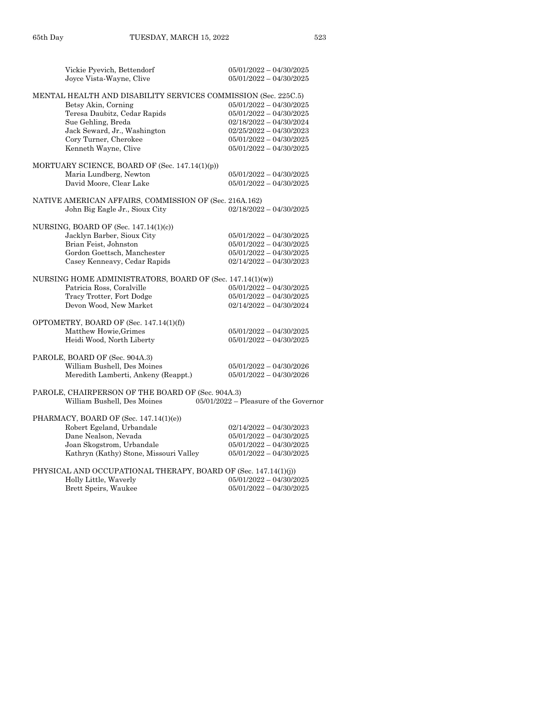| Vickie Pyevich, Bettendorf<br>Joyce Vista-Wayne, Clive                                                                                                                                                                       | $05/01/2022 - 04/30/2025$<br>$05/01/2022 - 04/30/2025$                                                                                                                     |
|------------------------------------------------------------------------------------------------------------------------------------------------------------------------------------------------------------------------------|----------------------------------------------------------------------------------------------------------------------------------------------------------------------------|
| MENTAL HEALTH AND DISABILITY SERVICES COMMISSION (Sec. 225C.5)<br>Betsy Akin, Corning<br>Teresa Daubitz, Cedar Rapids<br>Sue Gehling, Breda<br>Jack Seward, Jr., Washington<br>Cory Turner, Cherokee<br>Kenneth Wayne, Clive | $05/01/2022 - 04/30/2025$<br>$05/01/2022 - 04/30/2025$<br>$02/18/2022 - 04/30/2024$<br>$02/25/2022 - 04/30/2023$<br>$05/01/2022 - 04/30/2025$<br>$05/01/2022 - 04/30/2025$ |
| MORTUARY SCIENCE, BOARD OF (Sec. $147.14(1)(p)$ )<br>Maria Lundberg, Newton<br>David Moore, Clear Lake                                                                                                                       | $05/01/2022 - 04/30/2025$<br>05/01/2022 - 04/30/2025                                                                                                                       |
| NATIVE AMERICAN AFFAIRS, COMMISSION OF (Sec. 216A.162)<br>John Big Eagle Jr., Sioux City                                                                                                                                     | $02/18/2022 - 04/30/2025$                                                                                                                                                  |
| NURSING, BOARD OF (Sec. 147.14(1)(c))<br>Jacklyn Barber, Sioux City<br>Brian Feist, Johnston<br>Gordon Goettsch, Manchester<br>Casey Kenneavy, Cedar Rapids                                                                  | $05/01/2022 - 04/30/2025$<br>$05/01/2022 - 04/30/2025$<br>$05/01/2022 - 04/30/2025$<br>$02/14/2022 - 04/30/2023$                                                           |
| NURSING HOME ADMINISTRATORS, BOARD OF (Sec. 147.14(1)(w))<br>Patricia Ross, Coralville<br>Tracy Trotter, Fort Dodge<br>Devon Wood, New Market                                                                                | $05/01/2022 - 04/30/2025$<br>$05/01/2022 - 04/30/2025$<br>$02/14/2022 - 04/30/2024$                                                                                        |
| OPTOMETRY, BOARD OF (Sec. 147.14(1)(f))<br>Matthew Howie, Grimes<br>Heidi Wood, North Liberty                                                                                                                                | $05/01/2022 - 04/30/2025$<br>$05/01/2022 - 04/30/2025$                                                                                                                     |
| PAROLE, BOARD OF (Sec. 904A.3)<br>William Bushell, Des Moines<br>Meredith Lamberti, Ankeny (Reappt.)                                                                                                                         | $05/01/2022 - 04/30/2026$<br>$05/01/2022 - 04/30/2026$                                                                                                                     |
| PAROLE, CHAIRPERSON OF THE BOARD OF (Sec. 904A.3)<br>William Bushell, Des Moines                                                                                                                                             | $05/01/2022$ – Pleasure of the Governor                                                                                                                                    |
| PHARMACY, BOARD OF (Sec. 147.14(1)(e))<br>Robert Egeland, Urbandale<br>Dane Nealson, Nevada<br>Joan Skogstrom, Urbandale<br>Kathryn (Kathy) Stone, Missouri Valley                                                           | $02/14/2022 - 04/30/2023$<br>$05/01/2022 - 04/30/2025$<br>$05/01/2022 - 04/30/2025$<br>$05/01/2022 - 04/30/2025$                                                           |
| PHYSICAL AND OCCUPATIONAL THERAPY, BOARD OF (Sec. 147.14(1)(j))<br>Holly Little, Waverly<br>Brett Speirs, Waukee                                                                                                             | $05/01/2022 - 04/30/2025$<br>$05/01/2022 - 04/30/2025$                                                                                                                     |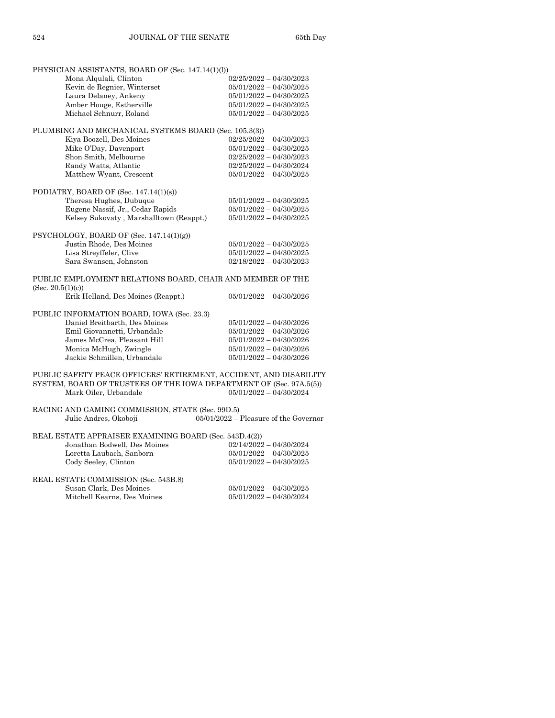| PHYSICIAN ASSISTANTS, BOARD OF (Sec. 147.14(1)(l))                              |                                         |
|---------------------------------------------------------------------------------|-----------------------------------------|
| Mona Alqulali, Clinton                                                          | $02/25/2022 - 04/30/2023$               |
| Kevin de Regnier, Winterset                                                     | 05/01/2022 - 04/30/2025                 |
| Laura Delaney, Ankeny                                                           | $05/01/2022 - 04/30/2025$               |
| Amber Houge, Estherville                                                        | $05/01/2022 - 04/30/2025$               |
| Michael Schnurr, Roland                                                         | 05/01/2022 - 04/30/2025                 |
|                                                                                 |                                         |
| PLUMBING AND MECHANICAL SYSTEMS BOARD (Sec. 105.3(3))                           | $02/25/2022 - 04/30/2023$               |
| Kiya Boozell, Des Moines                                                        | $05/01/2022 - 04/30/2025$               |
| Mike O'Day, Davenport                                                           |                                         |
| Shon Smith, Melbourne<br>Randy Watts, Atlantic                                  | $02/25/2022 - 04/30/2023$               |
| Matthew Wyant, Crescent                                                         | $02/25/2022 - 04/30/2024$               |
|                                                                                 | $05/01/2022 - 04/30/2025$               |
| PODIATRY, BOARD OF (Sec. 147.14(1)(s))                                          |                                         |
| Theresa Hughes, Dubuque                                                         | 05/01/2022 - 04/30/2025                 |
| Eugene Nassif, Jr., Cedar Rapids                                                | 05/01/2022 - 04/30/2025                 |
| Kelsey Sukovaty, Marshalltown (Reappt.)                                         | $05/01/2022 - 04/30/2025$               |
|                                                                                 |                                         |
| PSYCHOLOGY, BOARD OF (Sec. 147.14(1)(g))                                        |                                         |
| Justin Rhode, Des Moines                                                        | $05/01/2022 - 04/30/2025$               |
| Lisa Streyffeler, Clive                                                         | $05/01/2022 - 04/30/2025$               |
| Sara Swansen, Johnston                                                          | $02/18/2022 - 04/30/2023$               |
| PUBLIC EMPLOYMENT RELATIONS BOARD, CHAIR AND MEMBER OF THE<br>(Sec. 20.5(1)(c)) |                                         |
| Erik Helland, Des Moines (Reappt.)                                              | $05/01/2022 - 04/30/2026$               |
| PUBLIC INFORMATION BOARD, IOWA (Sec. 23.3)                                      |                                         |
| Daniel Breitbarth, Des Moines                                                   | $05/01/2022 - 04/30/2026$               |
| Emil Giovannetti, Urbandale                                                     | $05/01/2022 - 04/30/2026$               |
| James McCrea, Pleasant Hill                                                     | $05/01/2022 - 04/30/2026$               |
| Monica McHugh, Zwingle                                                          | $05/01/2022 - 04/30/2026$               |
| Jackie Schmillen, Urbandale                                                     | $05/01/2022 - 04/30/2026$               |
|                                                                                 |                                         |
| PUBLIC SAFETY PEACE OFFICERS' RETIREMENT, ACCIDENT, AND DISABILITY              |                                         |
| SYSTEM, BOARD OF TRUSTEES OF THE IOWA DEPARTMENT OF (Sec. 97A.5(5))             |                                         |
| Mark Oiler, Urbandale                                                           | $05/01/2022 - 04/30/2024$               |
|                                                                                 |                                         |
| RACING AND GAMING COMMISSION, STATE (Sec. 99D.5)                                |                                         |
| Julie Andres, Okoboji                                                           | $05/01/2022$ – Pleasure of the Governor |
| REAL ESTATE APPRAISER EXAMINING BOARD (Sec. 543D.4(2))                          |                                         |
| Jonathan Bodwell, Des Moines                                                    | $02/14/2022 - 04/30/2024$               |
| Loretta Laubach, Sanborn                                                        | $05/01/2022 - 04/30/2025$               |
| Cody Seeley, Clinton                                                            | 05/01/2022 - 04/30/2025                 |
| REAL ESTATE COMMISSION (Sec. 543B.8)                                            |                                         |
| Susan Clark, Des Moines                                                         | $05/01/2022 - 04/30/2025$               |
| Mitchell Kearns, Des Moines                                                     | $05/01/2022 - 04/30/2024$               |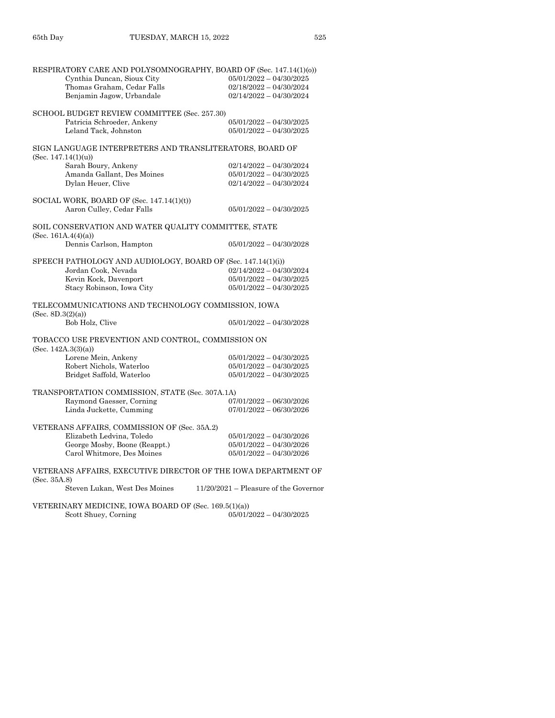| RESPIRATORY CARE AND POLYSOMNOGRAPHY, BOARD OF (Sec. 147.14(1)(0))              |                                                        |
|---------------------------------------------------------------------------------|--------------------------------------------------------|
| Cynthia Duncan, Sioux City                                                      | $05/01/2022 - 04/30/2025$                              |
| Thomas Graham, Cedar Falls                                                      | $02/18/2022 - 04/30/2024$                              |
| Benjamin Jagow, Urbandale                                                       | $02/14/2022 - 04/30/2024$                              |
| SCHOOL BUDGET REVIEW COMMITTEE (Sec. 257.30)                                    |                                                        |
| Patricia Schroeder, Ankeny                                                      | $05/01/2022 - 04/30/2025$                              |
| Leland Tack, Johnston                                                           | $05/01/2022 - 04/30/2025$                              |
| SIGN LANGUAGE INTERPRETERS AND TRANSLITERATORS, BOARD OF<br>(Sec. 147.14(1)(u)) |                                                        |
| Sarah Boury, Ankeny                                                             | $02/14/2022 - 04/30/2024$                              |
| Amanda Gallant, Des Moines                                                      | $05/01/2022 - 04/30/2025$                              |
| Dylan Heuer, Clive                                                              | $02/14/2022 - 04/30/2024$                              |
| SOCIAL WORK, BOARD OF (Sec. $147.14(1)(t)$ )<br>Aaron Culley, Cedar Falls       | $05/01/2022 - 04/30/2025$                              |
|                                                                                 |                                                        |
| SOIL CONSERVATION AND WATER QUALITY COMMITTEE, STATE<br>(Sec. $161A.4(4)(a)$ )  |                                                        |
| Dennis Carlson, Hampton                                                         | $05/01/2022 - 04/30/2028$                              |
| SPEECH PATHOLOGY AND AUDIOLOGY, BOARD OF (Sec. 147.14(1)(i))                    |                                                        |
| Jordan Cook, Nevada                                                             | $02/14/2022 - 04/30/2024$                              |
| Kevin Kock, Davenport                                                           | $05/01/2022 - 04/30/2025$                              |
| Stacy Robinson, Iowa City                                                       | $05/01/2022 - 04/30/2025$                              |
| TELECOMMUNICATIONS AND TECHNOLOGY COMMISSION, IOWA<br>(Sec. 8D.3(2)(a))         |                                                        |
| Bob Holz, Clive                                                                 | $05/01/2022 - 04/30/2028$                              |
| TOBACCO USE PREVENTION AND CONTROL, COMMISSION ON                               |                                                        |
| (Sec. 142A.3(3)(a))                                                             |                                                        |
| Lorene Mein, Ankeny                                                             | $05/01/2022 - 04/30/2025$<br>$05/01/2022 - 04/30/2025$ |
| Robert Nichols, Waterloo<br>Bridget Saffold, Waterloo                           | $05/01/2022 - 04/30/2025$                              |
|                                                                                 |                                                        |
| TRANSPORTATION COMMISSION, STATE (Sec. 307A.1A)                                 |                                                        |
| Raymond Gaesser, Corning                                                        | $07/01/2022 - 06/30/2026$                              |
| Linda Juckette, Cumming                                                         | $07/01/2022 - 06/30/2026$                              |
| VETERANS AFFAIRS, COMMISSION OF (Sec. 35A.2)                                    |                                                        |
| Elizabeth Ledvina, Toledo                                                       | $05/01/2022 - 04/30/2026$                              |
| George Mosby, Boone (Reappt.)                                                   | $05/01/2022 - 04/30/2026$                              |
| Carol Whitmore, Des Moines                                                      | $05/01/2022 - 04/30/2026$                              |
| VETERANS AFFAIRS, EXECUTIVE DIRECTOR OF THE IOWA DEPARTMENT OF<br>(Sec. 35A.8)  |                                                        |
| Steven Lukan, West Des Moines                                                   | $11/20/2021$ – Pleasure of the Governor                |
| VETERINARY MEDICINE, IOWA BOARD OF (Sec. 169.5(1)(a))                           |                                                        |
| Scott Shuey, Corning                                                            | $05/01/2022 - 04/30/2025$                              |
|                                                                                 |                                                        |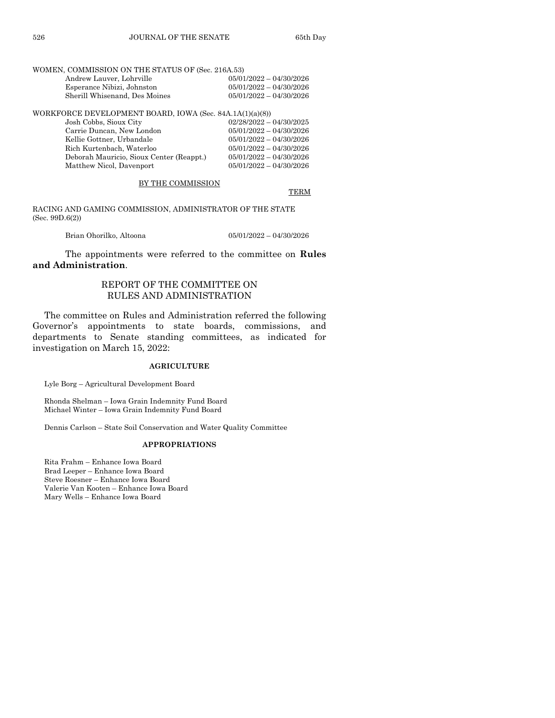#### WOMEN, COMMISSION ON THE STATUS OF (Sec. 216A.53)

| $05/01/2022 - 04/30/2026$ |
|---------------------------|
| $05/01/2022 - 04/30/2026$ |
| $05/01/2022 - 04/30/2026$ |
|                           |

WORKFORCE DEVELOPMENT BOARD, IOWA (Sec. 84A.1A(1)(a)(8))

| Josh Cobbs, Sioux City                   | $02/28/2022 - 04/30/2025$ |
|------------------------------------------|---------------------------|
| Carrie Duncan, New London                | $05/01/2022 - 04/30/2026$ |
| Kellie Gottner, Urbandale                | $05/01/2022 - 04/30/2026$ |
| Rich Kurtenbach, Waterloo                | $05/01/2022 - 04/30/2026$ |
| Deborah Mauricio, Sioux Center (Reappt.) | $05/01/2022 - 04/30/2026$ |
| Matthew Nicol, Davenport                 | $05/01/2022 - 04/30/2026$ |
|                                          |                           |

BY THE COMMISSION

TERM

RACING AND GAMING COMMISSION, ADMINISTRATOR OF THE STATE (Sec. 99D.6(2))

Brian Ohorilko, Altoona 05/01/2022 – 04/30/2026

The appointments were referred to the committee on **Rules and Administration**.

## REPORT OF THE COMMITTEE ON RULES AND ADMINISTRATION

The committee on Rules and Administration referred the following Governor's appointments to state boards, commissions, and departments to Senate standing committees, as indicated for investigation on March 15, 2022:

#### **AGRICULTURE**

Lyle Borg – Agricultural Development Board

Rhonda Shelman – Iowa Grain Indemnity Fund Board Michael Winter – Iowa Grain Indemnity Fund Board

Dennis Carlson – State Soil Conservation and Water Quality Committee

#### **APPROPRIATIONS**

Rita Frahm – Enhance Iowa Board Brad Leeper – Enhance Iowa Board Steve Roesner – Enhance Iowa Board Valerie Van Kooten – Enhance Iowa Board Mary Wells – Enhance Iowa Board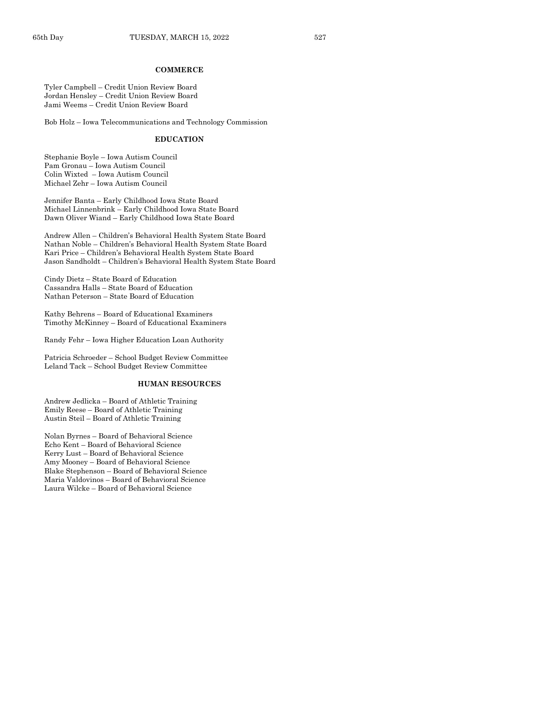#### **COMMERCE**

Tyler Campbell – Credit Union Review Board Jordan Hensley – Credit Union Review Board Jami Weems – Credit Union Review Board

Bob Holz – Iowa Telecommunications and Technology Commission

#### **EDUCATION**

Stephanie Boyle – Iowa Autism Council Pam Gronau – Iowa Autism Council Colin Wixted – Iowa Autism Council Michael Zehr – Iowa Autism Council

Jennifer Banta – Early Childhood Iowa State Board Michael Linnenbrink – Early Childhood Iowa State Board Dawn Oliver Wiand – Early Childhood Iowa State Board

Andrew Allen – Children's Behavioral Health System State Board Nathan Noble – Children's Behavioral Health System State Board Kari Price – Children's Behavioral Health System State Board Jason Sandholdt – Children's Behavioral Health System State Board

Cindy Dietz – State Board of Education Cassandra Halls – State Board of Education Nathan Peterson – State Board of Education

Kathy Behrens – Board of Educational Examiners Timothy McKinney – Board of Educational Examiners

Randy Fehr – Iowa Higher Education Loan Authority

Patricia Schroeder – School Budget Review Committee Leland Tack – School Budget Review Committee

## **HUMAN RESOURCES**

Andrew Jedlicka – Board of Athletic Training Emily Reese – Board of Athletic Training Austin Steil – Board of Athletic Training

Nolan Byrnes – Board of Behavioral Science Echo Kent – Board of Behavioral Science Kerry Lust – Board of Behavioral Science Amy Mooney – Board of Behavioral Science Blake Stephenson – Board of Behavioral Science Maria Valdovinos – Board of Behavioral Science Laura Wilcke – Board of Behavioral Science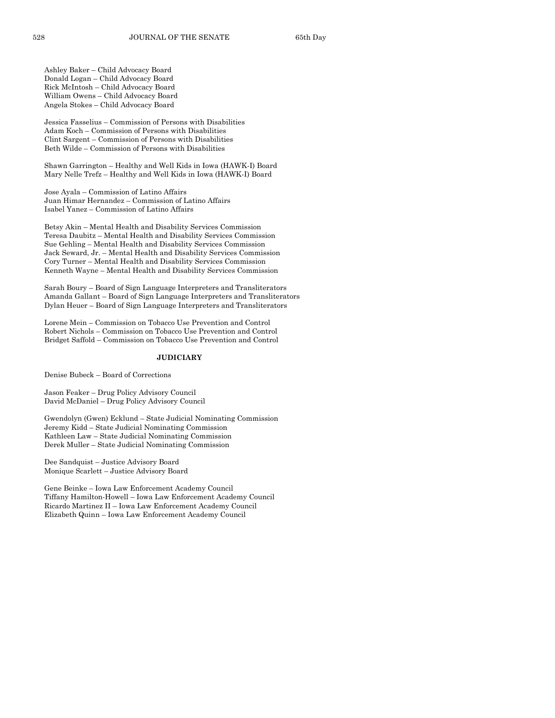Ashley Baker – Child Advocacy Board Donald Logan – Child Advocacy Board Rick McIntosh – Child Advocacy Board William Owens – Child Advocacy Board Angela Stokes – Child Advocacy Board

Jessica Fasselius – Commission of Persons with Disabilities Adam Koch – Commission of Persons with Disabilities Clint Sargent – Commission of Persons with Disabilities Beth Wilde – Commission of Persons with Disabilities

Shawn Garrington – Healthy and Well Kids in Iowa (HAWK-I) Board Mary Nelle Trefz – Healthy and Well Kids in Iowa (HAWK-I) Board

Jose Ayala – Commission of Latino Affairs Juan Himar Hernandez – Commission of Latino Affairs Isabel Yanez – Commission of Latino Affairs

Betsy Akin – Mental Health and Disability Services Commission Teresa Daubitz – Mental Health and Disability Services Commission Sue Gehling – Mental Health and Disability Services Commission Jack Seward, Jr. – Mental Health and Disability Services Commission Cory Turner – Mental Health and Disability Services Commission Kenneth Wayne – Mental Health and Disability Services Commission

Sarah Boury – Board of Sign Language Interpreters and Transliterators Amanda Gallant – Board of Sign Language Interpreters and Transliterators Dylan Heuer – Board of Sign Language Interpreters and Transliterators

Lorene Mein – Commission on Tobacco Use Prevention and Control Robert Nichols – Commission on Tobacco Use Prevention and Control Bridget Saffold – Commission on Tobacco Use Prevention and Control

#### **JUDICIARY**

Denise Bubeck – Board of Corrections

Jason Feaker – Drug Policy Advisory Council David McDaniel – Drug Policy Advisory Council

Gwendolyn (Gwen) Ecklund – State Judicial Nominating Commission Jeremy Kidd – State Judicial Nominating Commission Kathleen Law – State Judicial Nominating Commission Derek Muller – State Judicial Nominating Commission

Dee Sandquist – Justice Advisory Board Monique Scarlett – Justice Advisory Board

Gene Beinke – Iowa Law Enforcement Academy Council Tiffany Hamilton-Howell – Iowa Law Enforcement Academy Council Ricardo Martinez II – Iowa Law Enforcement Academy Council Elizabeth Quinn – Iowa Law Enforcement Academy Council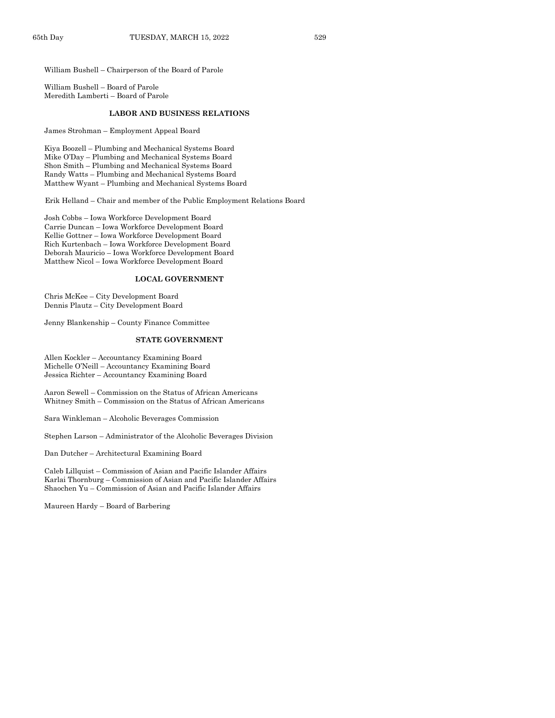William Bushell – Chairperson of the Board of Parole

William Bushell – Board of Parole Meredith Lamberti – Board of Parole

#### **LABOR AND BUSINESS RELATIONS**

James Strohman – Employment Appeal Board

Kiya Boozell – Plumbing and Mechanical Systems Board Mike O'Day – Plumbing and Mechanical Systems Board Shon Smith – Plumbing and Mechanical Systems Board Randy Watts – Plumbing and Mechanical Systems Board Matthew Wyant – Plumbing and Mechanical Systems Board

Erik Helland – Chair and member of the Public Employment Relations Board

Josh Cobbs – Iowa Workforce Development Board Carrie Duncan – Iowa Workforce Development Board Kellie Gottner – Iowa Workforce Development Board Rich Kurtenbach – Iowa Workforce Development Board Deborah Mauricio – Iowa Workforce Development Board Matthew Nicol – Iowa Workforce Development Board

## **LOCAL GOVERNMENT**

Chris McKee – City Development Board Dennis Plautz – City Development Board

Jenny Blankenship – County Finance Committee

#### **STATE GOVERNMENT**

Allen Kockler – Accountancy Examining Board Michelle O'Neill – Accountancy Examining Board Jessica Richter – Accountancy Examining Board

Aaron Sewell – Commission on the Status of African Americans Whitney Smith – Commission on the Status of African Americans

Sara Winkleman – Alcoholic Beverages Commission

Stephen Larson – Administrator of the Alcoholic Beverages Division

Dan Dutcher – Architectural Examining Board

Caleb Lillquist – Commission of Asian and Pacific Islander Affairs Karlai Thornburg – Commission of Asian and Pacific Islander Affairs Shaochen Yu – Commission of Asian and Pacific Islander Affairs

Maureen Hardy – Board of Barbering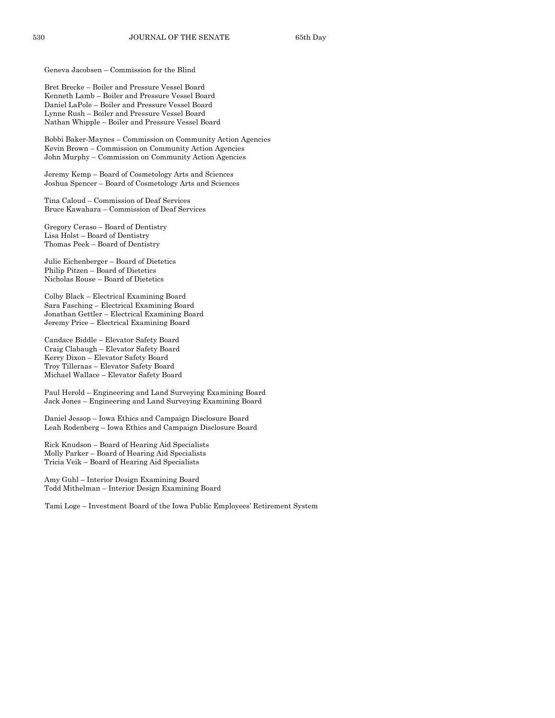Geneva Jacobsen – Commission for the Blind

Bret Brecke – Boiler and Pressure Vessel Board Kenneth Lamb – Boiler and Pressure Vessel Board Daniel LaPole – Boiler and Pressure Vessel Board Lynne Rush – Boiler and Pressure Vessel Board Nathan Whipple – Boiler and Pressure Vessel Board

Bobbi Baker-Maynes – Commission on Community Action Agencies Kevin Brown – Commission on Community Action Agencies John Murphy – Commission on Community Action Agencies

Jeremy Kemp – Board of Cosmetology Arts and Sciences Joshua Spencer – Board of Cosmetology Arts and Sciences

Tina Caloud – Commission of Deaf Services Bruce Kawahara – Commission of Deaf Services

Gregory Ceraso – Board of Dentistry Lisa Holst – Board of Dentistry Thomas Peek – Board of Dentistry

Julie Eichenberger – Board of Dietetics Philip Pitzen – Board of Dietetics Nicholas Rouse – Board of Dietetics

Colby Black – Electrical Examining Board Sara Fasching – Electrical Examining Board Jonathan Gettler – Electrical Examining Board Jeremy Price – Electrical Examining Board

Candace Biddle – Elevator Safety Board Craig Clabaugh – Elevator Safety Board Kerry Dixon – Elevator Safety Board Troy Tilleraas – Elevator Safety Board Michael Wallace – Elevator Safety Board

Paul Herold – Engineering and Land Surveying Examining Board Jack Jones – Engineering and Land Surveying Examining Board

Daniel Jessop – Iowa Ethics and Campaign Disclosure Board Leah Rodenberg – Iowa Ethics and Campaign Disclosure Board

Rick Knudson – Board of Hearing Aid Specialists Molly Parker – Board of Hearing Aid Specialists Tricia Veik – Board of Hearing Aid Specialists

Amy Guhl – Interior Design Examining Board Todd Mithelman – Interior Design Examining Board

Tami Loge – Investment Board of the Iowa Public Employees' Retirement System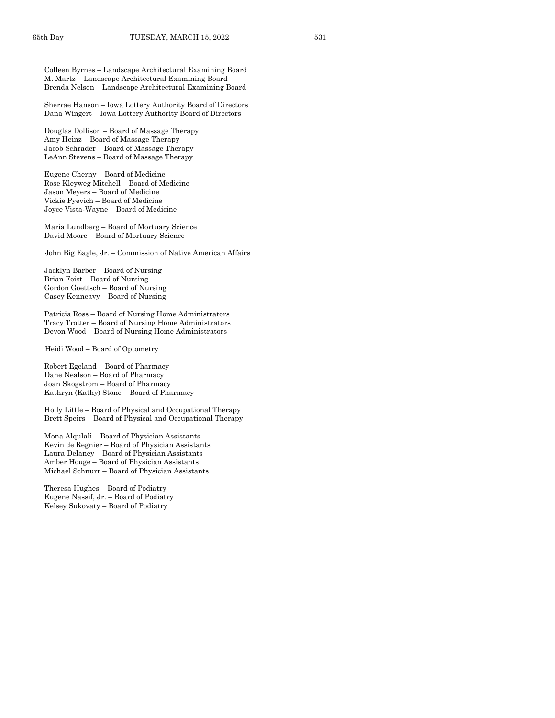Colleen Byrnes – Landscape Architectural Examining Board M. Martz – Landscape Architectural Examining Board Brenda Nelson – Landscape Architectural Examining Board

Sherrae Hanson – Iowa Lottery Authority Board of Directors Dana Wingert – Iowa Lottery Authority Board of Directors

Douglas Dollison – Board of Massage Therapy Amy Heinz – Board of Massage Therapy Jacob Schrader – Board of Massage Therapy LeAnn Stevens – Board of Massage Therapy

Eugene Cherny – Board of Medicine Rose Kleyweg Mitchell – Board of Medicine Jason Meyers – Board of Medicine Vickie Pyevich – Board of Medicine Joyce Vista-Wayne – Board of Medicine

Maria Lundberg – Board of Mortuary Science David Moore – Board of Mortuary Science

John Big Eagle, Jr. – Commission of Native American Affairs

Jacklyn Barber – Board of Nursing Brian Feist – Board of Nursing Gordon Goettsch – Board of Nursing Casey Kenneavy – Board of Nursing

Patricia Ross – Board of Nursing Home Administrators Tracy Trotter – Board of Nursing Home Administrators Devon Wood – Board of Nursing Home Administrators

Heidi Wood – Board of Optometry

Robert Egeland – Board of Pharmacy Dane Nealson – Board of Pharmacy Joan Skogstrom – Board of Pharmacy Kathryn (Kathy) Stone – Board of Pharmacy

Holly Little – Board of Physical and Occupational Therapy Brett Speirs – Board of Physical and Occupational Therapy

Mona Alqulali – Board of Physician Assistants Kevin de Regnier – Board of Physician Assistants Laura Delaney – Board of Physician Assistants Amber Houge – Board of Physician Assistants Michael Schnurr – Board of Physician Assistants

Theresa Hughes – Board of Podiatry Eugene Nassif, Jr. – Board of Podiatry Kelsey Sukovaty – Board of Podiatry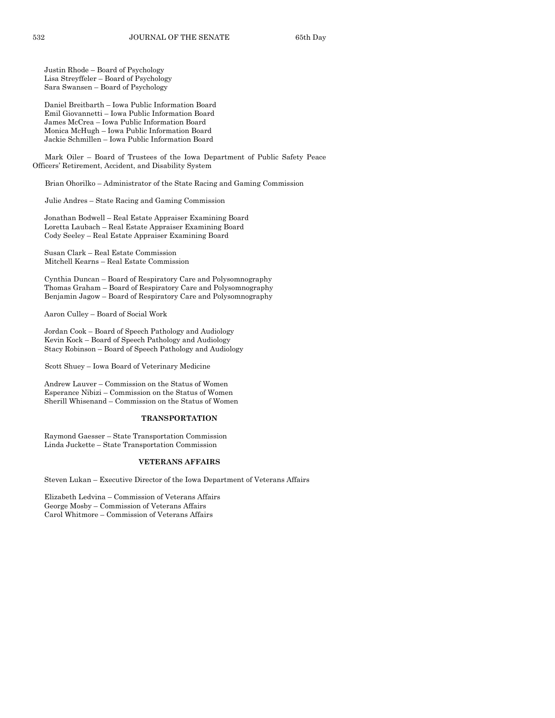Justin Rhode – Board of Psychology Lisa Streyffeler – Board of Psychology Sara Swansen – Board of Psychology

Daniel Breitbarth – Iowa Public Information Board Emil Giovannetti – Iowa Public Information Board James McCrea – Iowa Public Information Board Monica McHugh – Iowa Public Information Board Jackie Schmillen – Iowa Public Information Board

Mark Oiler – Board of Trustees of the Iowa Department of Public Safety Peace Officers' Retirement, Accident, and Disability System

Brian Ohorilko – Administrator of the State Racing and Gaming Commission

Julie Andres – State Racing and Gaming Commission

Jonathan Bodwell – Real Estate Appraiser Examining Board Loretta Laubach – Real Estate Appraiser Examining Board Cody Seeley – Real Estate Appraiser Examining Board

Susan Clark – Real Estate Commission Mitchell Kearns – Real Estate Commission

Cynthia Duncan – Board of Respiratory Care and Polysomnography Thomas Graham – Board of Respiratory Care and Polysomnography Benjamin Jagow – Board of Respiratory Care and Polysomnography

Aaron Culley – Board of Social Work

Jordan Cook – Board of Speech Pathology and Audiology Kevin Kock – Board of Speech Pathology and Audiology Stacy Robinson – Board of Speech Pathology and Audiology

Scott Shuey – Iowa Board of Veterinary Medicine

Andrew Lauver – Commission on the Status of Women Esperance Nibizi – Commission on the Status of Women Sherill Whisenand – Commission on the Status of Women

#### **TRANSPORTATION**

Raymond Gaesser – State Transportation Commission Linda Juckette – State Transportation Commission

#### **VETERANS AFFAIRS**

Steven Lukan – Executive Director of the Iowa Department of Veterans Affairs

Elizabeth Ledvina – Commission of Veterans Affairs George Mosby – Commission of Veterans Affairs Carol Whitmore – Commission of Veterans Affairs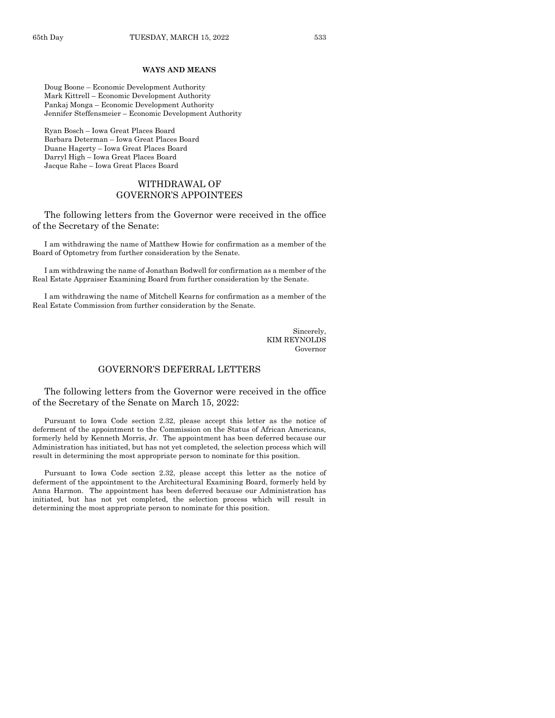#### **WAYS AND MEANS**

Doug Boone – Economic Development Authority Mark Kittrell – Economic Development Authority Pankaj Monga – Economic Development Authority Jennifer Steffensmeier – Economic Development Authority

Ryan Bosch – Iowa Great Places Board Barbara Determan – Iowa Great Places Board Duane Hagerty – Iowa Great Places Board Darryl High – Iowa Great Places Board Jacque Rahe – Iowa Great Places Board

## WITHDRAWAL OF GOVERNOR'S APPOINTEES

The following letters from the Governor were received in the office of the Secretary of the Senate:

I am withdrawing the name of Matthew Howie for confirmation as a member of the Board of Optometry from further consideration by the Senate.

I am withdrawing the name of Jonathan Bodwell for confirmation as a member of the Real Estate Appraiser Examining Board from further consideration by the Senate.

I am withdrawing the name of Mitchell Kearns for confirmation as a member of the Real Estate Commission from further consideration by the Senate.

> Sincerely, KIM REYNOLDS Governor

## GOVERNOR'S DEFERRAL LETTERS

The following letters from the Governor were received in the office of the Secretary of the Senate on March 15, 2022:

Pursuant to Iowa Code section 2.32, please accept this letter as the notice of deferment of the appointment to the Commission on the Status of African Americans, formerly held by Kenneth Morris, Jr. The appointment has been deferred because our Administration has initiated, but has not yet completed, the selection process which will result in determining the most appropriate person to nominate for this position.

Pursuant to Iowa Code section 2.32, please accept this letter as the notice of deferment of the appointment to the Architectural Examining Board, formerly held by Anna Harmon. The appointment has been deferred because our Administration has initiated, but has not yet completed, the selection process which will result in determining the most appropriate person to nominate for this position.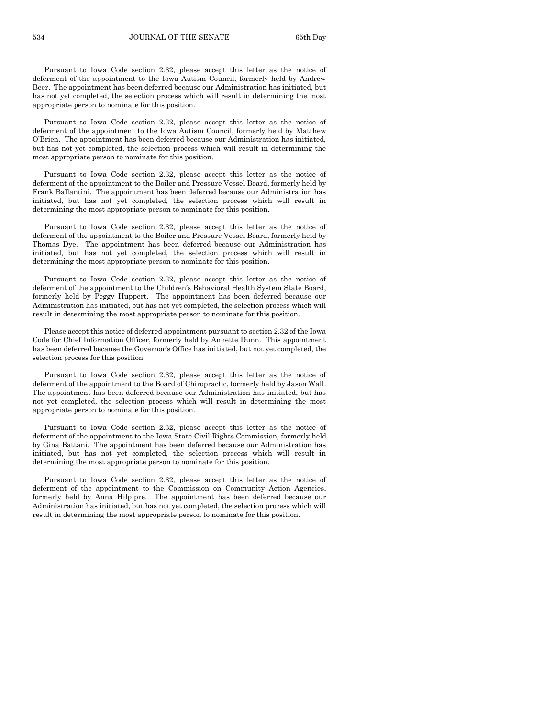Pursuant to Iowa Code section 2.32, please accept this letter as the notice of deferment of the appointment to the Iowa Autism Council, formerly held by Andrew Beer. The appointment has been deferred because our Administration has initiated, but has not yet completed, the selection process which will result in determining the most appropriate person to nominate for this position.

Pursuant to Iowa Code section 2.32, please accept this letter as the notice of deferment of the appointment to the Iowa Autism Council, formerly held by Matthew O'Brien. The appointment has been deferred because our Administration has initiated, but has not yet completed, the selection process which will result in determining the most appropriate person to nominate for this position.

Pursuant to Iowa Code section 2.32, please accept this letter as the notice of deferment of the appointment to the Boiler and Pressure Vessel Board, formerly held by Frank Ballantini. The appointment has been deferred because our Administration has initiated, but has not yet completed, the selection process which will result in determining the most appropriate person to nominate for this position.

Pursuant to Iowa Code section 2.32, please accept this letter as the notice of deferment of the appointment to the Boiler and Pressure Vessel Board, formerly held by Thomas Dye. The appointment has been deferred because our Administration has initiated, but has not yet completed, the selection process which will result in determining the most appropriate person to nominate for this position.

Pursuant to Iowa Code section 2.32, please accept this letter as the notice of deferment of the appointment to the Children's Behavioral Health System State Board, formerly held by Peggy Huppert. The appointment has been deferred because our Administration has initiated, but has not yet completed, the selection process which will result in determining the most appropriate person to nominate for this position.

Please accept this notice of deferred appointment pursuant to section 2.32 of the Iowa Code for Chief Information Officer, formerly held by Annette Dunn. This appointment has been deferred because the Governor's Office has initiated, but not yet completed, the selection process for this position.

Pursuant to Iowa Code section 2.32, please accept this letter as the notice of deferment of the appointment to the Board of Chiropractic, formerly held by Jason Wall. The appointment has been deferred because our Administration has initiated, but has not yet completed, the selection process which will result in determining the most appropriate person to nominate for this position.

Pursuant to Iowa Code section 2.32, please accept this letter as the notice of deferment of the appointment to the Iowa State Civil Rights Commission, formerly held by Gina Battani. The appointment has been deferred because our Administration has initiated, but has not yet completed, the selection process which will result in determining the most appropriate person to nominate for this position.

Pursuant to Iowa Code section 2.32, please accept this letter as the notice of deferment of the appointment to the Commission on Community Action Agencies, formerly held by Anna Hilpipre. The appointment has been deferred because our Administration has initiated, but has not yet completed, the selection process which will result in determining the most appropriate person to nominate for this position.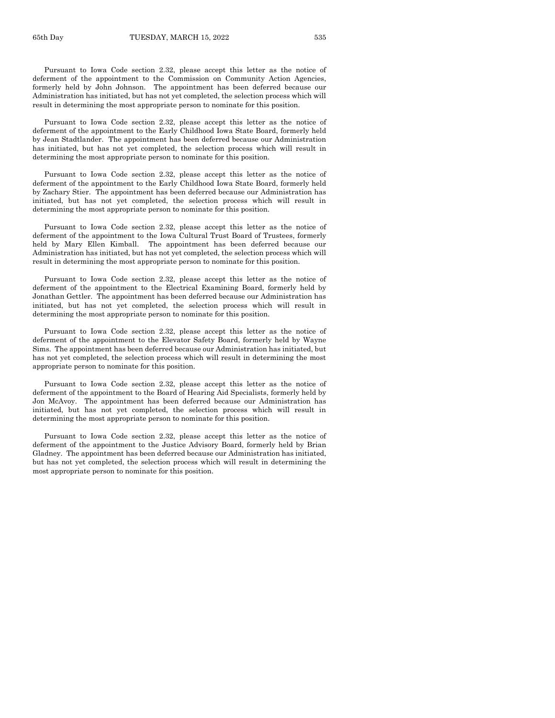Pursuant to Iowa Code section 2.32, please accept this letter as the notice of deferment of the appointment to the Commission on Community Action Agencies, formerly held by John Johnson. The appointment has been deferred because our Administration has initiated, but has not yet completed, the selection process which will result in determining the most appropriate person to nominate for this position.

Pursuant to Iowa Code section 2.32, please accept this letter as the notice of deferment of the appointment to the Early Childhood Iowa State Board, formerly held by Jean Stadtlander. The appointment has been deferred because our Administration has initiated, but has not yet completed, the selection process which will result in determining the most appropriate person to nominate for this position.

Pursuant to Iowa Code section 2.32, please accept this letter as the notice of deferment of the appointment to the Early Childhood Iowa State Board, formerly held by Zachary Stier. The appointment has been deferred because our Administration has initiated, but has not yet completed, the selection process which will result in determining the most appropriate person to nominate for this position.

Pursuant to Iowa Code section 2.32, please accept this letter as the notice of deferment of the appointment to the Iowa Cultural Trust Board of Trustees, formerly held by Mary Ellen Kimball. The appointment has been deferred because our Administration has initiated, but has not yet completed, the selection process which will result in determining the most appropriate person to nominate for this position.

Pursuant to Iowa Code section 2.32, please accept this letter as the notice of deferment of the appointment to the Electrical Examining Board, formerly held by Jonathan Gettler. The appointment has been deferred because our Administration has initiated, but has not yet completed, the selection process which will result in determining the most appropriate person to nominate for this position.

Pursuant to Iowa Code section 2.32, please accept this letter as the notice of deferment of the appointment to the Elevator Safety Board, formerly held by Wayne Sims. The appointment has been deferred because our Administration has initiated, but has not yet completed, the selection process which will result in determining the most appropriate person to nominate for this position.

Pursuant to Iowa Code section 2.32, please accept this letter as the notice of deferment of the appointment to the Board of Hearing Aid Specialists, formerly held by Jon McAvoy. The appointment has been deferred because our Administration has initiated, but has not yet completed, the selection process which will result in determining the most appropriate person to nominate for this position.

Pursuant to Iowa Code section 2.32, please accept this letter as the notice of deferment of the appointment to the Justice Advisory Board, formerly held by Brian Gladney. The appointment has been deferred because our Administration has initiated, but has not yet completed, the selection process which will result in determining the most appropriate person to nominate for this position.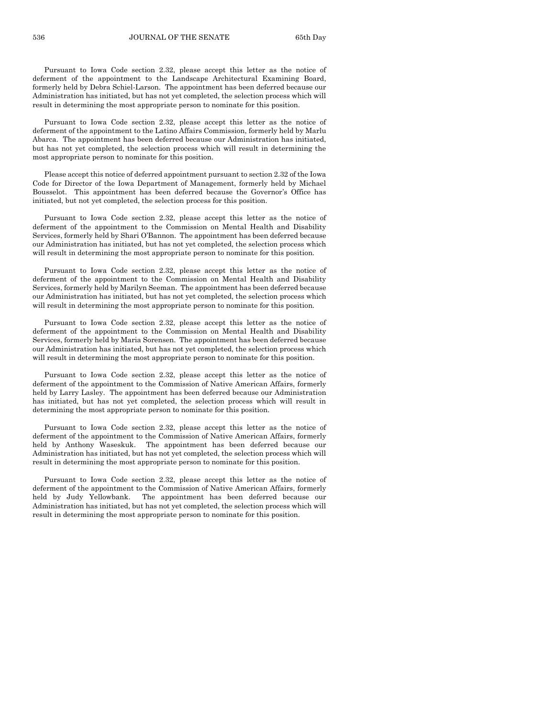Pursuant to Iowa Code section 2.32, please accept this letter as the notice of deferment of the appointment to the Landscape Architectural Examining Board, formerly held by Debra Schiel-Larson. The appointment has been deferred because our Administration has initiated, but has not yet completed, the selection process which will result in determining the most appropriate person to nominate for this position.

Pursuant to Iowa Code section 2.32, please accept this letter as the notice of deferment of the appointment to the Latino Affairs Commission, formerly held by Marlu Abarca. The appointment has been deferred because our Administration has initiated, but has not yet completed, the selection process which will result in determining the most appropriate person to nominate for this position.

Please accept this notice of deferred appointment pursuant to section 2.32 of the Iowa Code for Director of the Iowa Department of Management, formerly held by Michael Bousselot. This appointment has been deferred because the Governor's Office has initiated, but not yet completed, the selection process for this position.

Pursuant to Iowa Code section 2.32, please accept this letter as the notice of deferment of the appointment to the Commission on Mental Health and Disability Services, formerly held by Shari O'Bannon. The appointment has been deferred because our Administration has initiated, but has not yet completed, the selection process which will result in determining the most appropriate person to nominate for this position.

Pursuant to Iowa Code section 2.32, please accept this letter as the notice of deferment of the appointment to the Commission on Mental Health and Disability Services, formerly held by Marilyn Seeman. The appointment has been deferred because our Administration has initiated, but has not yet completed, the selection process which will result in determining the most appropriate person to nominate for this position.

Pursuant to Iowa Code section 2.32, please accept this letter as the notice of deferment of the appointment to the Commission on Mental Health and Disability Services, formerly held by Maria Sorensen. The appointment has been deferred because our Administration has initiated, but has not yet completed, the selection process which will result in determining the most appropriate person to nominate for this position.

Pursuant to Iowa Code section 2.32, please accept this letter as the notice of deferment of the appointment to the Commission of Native American Affairs, formerly held by Larry Lasley. The appointment has been deferred because our Administration has initiated, but has not yet completed, the selection process which will result in determining the most appropriate person to nominate for this position.

Pursuant to Iowa Code section 2.32, please accept this letter as the notice of deferment of the appointment to the Commission of Native American Affairs, formerly held by Anthony Waseskuk. The appointment has been deferred because our Administration has initiated, but has not yet completed, the selection process which will result in determining the most appropriate person to nominate for this position.

Pursuant to Iowa Code section 2.32, please accept this letter as the notice of deferment of the appointment to the Commission of Native American Affairs, formerly held by Judy Yellowbank. The appointment has been deferred because our Administration has initiated, but has not yet completed, the selection process which will result in determining the most appropriate person to nominate for this position.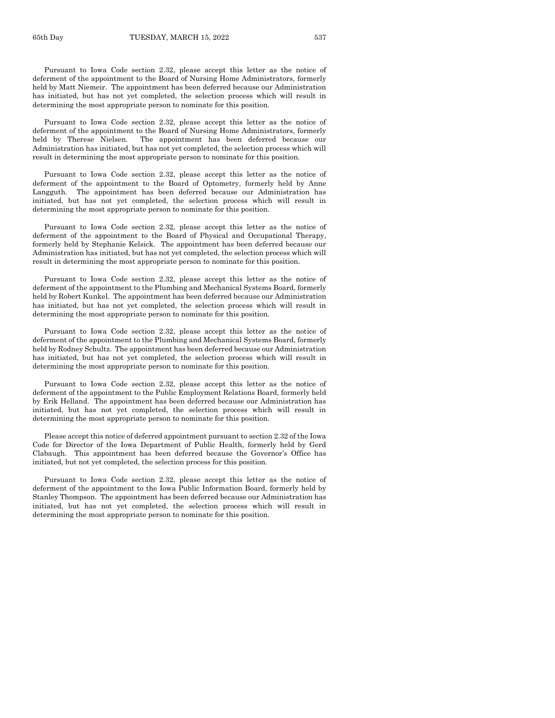Pursuant to Iowa Code section 2.32, please accept this letter as the notice of deferment of the appointment to the Board of Nursing Home Administrators, formerly held by Matt Niemeir. The appointment has been deferred because our Administration has initiated, but has not yet completed, the selection process which will result in determining the most appropriate person to nominate for this position.

Pursuant to Iowa Code section 2.32, please accept this letter as the notice of deferment of the appointment to the Board of Nursing Home Administrators, formerly held by Therese Nielsen. The appointment has been deferred because our Administration has initiated, but has not yet completed, the selection process which will result in determining the most appropriate person to nominate for this position.

Pursuant to Iowa Code section 2.32, please accept this letter as the notice of deferment of the appointment to the Board of Optometry, formerly held by Anne Langguth. The appointment has been deferred because our Administration has initiated, but has not yet completed, the selection process which will result in determining the most appropriate person to nominate for this position.

Pursuant to Iowa Code section 2.32, please accept this letter as the notice of deferment of the appointment to the Board of Physical and Occupational Therapy, formerly held by Stephanie Kelsick. The appointment has been deferred because our Administration has initiated, but has not yet completed, the selection process which will result in determining the most appropriate person to nominate for this position.

Pursuant to Iowa Code section 2.32, please accept this letter as the notice of deferment of the appointment to the Plumbing and Mechanical Systems Board, formerly held by Robert Kunkel. The appointment has been deferred because our Administration has initiated, but has not yet completed, the selection process which will result in determining the most appropriate person to nominate for this position.

Pursuant to Iowa Code section 2.32, please accept this letter as the notice of deferment of the appointment to the Plumbing and Mechanical Systems Board, formerly held by Rodney Schultz. The appointment has been deferred because our Administration has initiated, but has not yet completed, the selection process which will result in determining the most appropriate person to nominate for this position.

Pursuant to Iowa Code section 2.32, please accept this letter as the notice of deferment of the appointment to the Public Employment Relations Board, formerly held by Erik Helland. The appointment has been deferred because our Administration has initiated, but has not yet completed, the selection process which will result in determining the most appropriate person to nominate for this position.

Please accept this notice of deferred appointment pursuant to section 2.32 of the Iowa Code for Director of the Iowa Department of Public Health, formerly held by Gerd Clabaugh. This appointment has been deferred because the Governor's Office has initiated, but not yet completed, the selection process for this position.

Pursuant to Iowa Code section 2.32, please accept this letter as the notice of deferment of the appointment to the Iowa Public Information Board, formerly held by Stanley Thompson. The appointment has been deferred because our Administration has initiated, but has not yet completed, the selection process which will result in determining the most appropriate person to nominate for this position.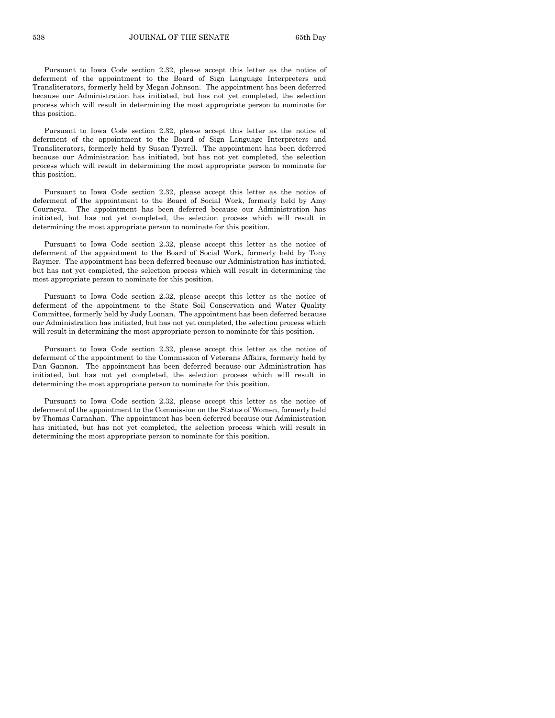Pursuant to Iowa Code section 2.32, please accept this letter as the notice of deferment of the appointment to the Board of Sign Language Interpreters and Transliterators, formerly held by Megan Johnson. The appointment has been deferred because our Administration has initiated, but has not yet completed, the selection process which will result in determining the most appropriate person to nominate for this position.

Pursuant to Iowa Code section 2.32, please accept this letter as the notice of deferment of the appointment to the Board of Sign Language Interpreters and Transliterators, formerly held by Susan Tyrrell. The appointment has been deferred because our Administration has initiated, but has not yet completed, the selection process which will result in determining the most appropriate person to nominate for this position.

Pursuant to Iowa Code section 2.32, please accept this letter as the notice of deferment of the appointment to the Board of Social Work, formerly held by Amy Courneya. The appointment has been deferred because our Administration has initiated, but has not yet completed, the selection process which will result in determining the most appropriate person to nominate for this position.

Pursuant to Iowa Code section 2.32, please accept this letter as the notice of deferment of the appointment to the Board of Social Work, formerly held by Tony Raymer. The appointment has been deferred because our Administration has initiated, but has not yet completed, the selection process which will result in determining the most appropriate person to nominate for this position.

Pursuant to Iowa Code section 2.32, please accept this letter as the notice of deferment of the appointment to the State Soil Conservation and Water Quality Committee, formerly held by Judy Loonan. The appointment has been deferred because our Administration has initiated, but has not yet completed, the selection process which will result in determining the most appropriate person to nominate for this position.

Pursuant to Iowa Code section 2.32, please accept this letter as the notice of deferment of the appointment to the Commission of Veterans Affairs, formerly held by Dan Gannon. The appointment has been deferred because our Administration has initiated, but has not yet completed, the selection process which will result in determining the most appropriate person to nominate for this position.

Pursuant to Iowa Code section 2.32, please accept this letter as the notice of deferment of the appointment to the Commission on the Status of Women, formerly held by Thomas Carnahan. The appointment has been deferred because our Administration has initiated, but has not yet completed, the selection process which will result in determining the most appropriate person to nominate for this position.